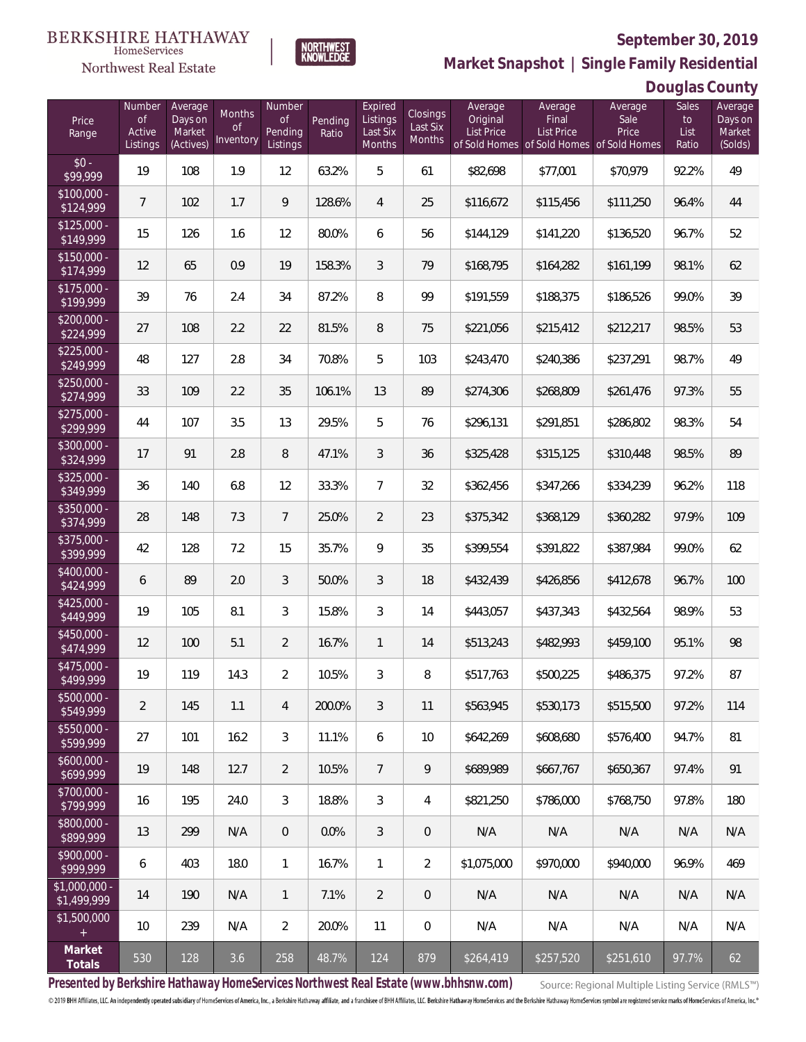

**NORTHWEST**<br>KNOWLEDGE

**Market Snapshot | Single Family Residential**

## **Douglas County**

| Price<br>Range               | Number<br><b>of</b><br>Active<br>Listings | Average<br>Days on<br>Market<br>(Actives) | Months<br><b>of</b><br>Inventory | Number<br>Οf<br>Pending<br>Listings | Pending<br>Ratio | Expired<br>Listings<br>Last Six<br>Months | Closings<br>Last Six<br>Months | Average<br>Original<br><b>List Price</b> | Average<br>Final<br>List Price<br>of Sold Homes of Sold Homes of Sold Homes | Average<br>Sale<br>Price | Sales<br>to<br>List<br>Ratio | Average<br>Days on<br>Market<br>(Solds) |
|------------------------------|-------------------------------------------|-------------------------------------------|----------------------------------|-------------------------------------|------------------|-------------------------------------------|--------------------------------|------------------------------------------|-----------------------------------------------------------------------------|--------------------------|------------------------------|-----------------------------------------|
| $$0 -$<br>\$99,999           | 19                                        | 108                                       | 1.9                              | 12                                  | 63.2%            | 5                                         | 61                             | \$82,698                                 | \$77,001                                                                    | \$70,979                 | 92.2%                        | 49                                      |
| $$100,000 -$<br>\$124,999    | $7^{\circ}$                               | 102                                       | 1.7                              | $\mathsf{Q}$                        | 128.6%           | $\overline{4}$                            | 25                             | \$116,672                                | \$115,456                                                                   | \$111,250                | 96.4%                        | 44                                      |
| $$125,000 -$<br>\$149,999    | 15                                        | 126                                       | 1.6                              | 12                                  | 80.0%            | 6                                         | 56                             | \$144,129                                | \$141,220                                                                   | \$136,520                | 96.7%                        | 52                                      |
| $$150,000 -$<br>\$174,999    | 12                                        | 65                                        | 0.9                              | 19                                  | 158.3%           | 3                                         | 79                             | \$168,795                                | \$164,282                                                                   | \$161,199                | 98.1%                        | 62                                      |
| $$175,000 -$<br>\$199,999    | 39                                        | 76                                        | 2.4                              | 34                                  | 87.2%            | 8                                         | 99                             | \$191,559                                | \$188,375                                                                   | \$186,526                | 99.0%                        | 39                                      |
| $$200,000 -$<br>\$224,999    | 27                                        | 108                                       | 2.2                              | 22                                  | 81.5%            | 8                                         | 75                             | \$221,056                                | \$215,412                                                                   | \$212,217                | 98.5%                        | 53                                      |
| $$225,000 -$<br>\$249,999    | 48                                        | 127                                       | 2.8                              | 34                                  | 70.8%            | 5                                         | 103                            | \$243,470                                | \$240,386                                                                   | \$237,291                | 98.7%                        | 49                                      |
| $$250,000 -$<br>\$274,999    | 33                                        | 109                                       | 2.2                              | 35                                  | 106.1%           | 13                                        | 89                             | \$274,306                                | \$268,809                                                                   | \$261,476                | 97.3%                        | 55                                      |
| $$275,000 -$<br>\$299,999    | 44                                        | 107                                       | 3.5                              | 13                                  | 29.5%            | 5                                         | 76                             | \$296,131                                | \$291,851                                                                   | \$286,802                | 98.3%                        | 54                                      |
| $$300,000 -$<br>\$324,999    | 17                                        | 91                                        | 2.8                              | 8                                   | 47.1%            | 3                                         | 36                             | \$325,428                                | \$315,125                                                                   | \$310,448                | 98.5%                        | 89                                      |
| $$325,000 -$<br>\$349,999    | 36                                        | 140                                       | 6.8                              | 12                                  | 33.3%            | $\overline{7}$                            | 32                             | \$362,456                                | \$347,266                                                                   | \$334,239                | 96.2%                        | 118                                     |
| $$350,000 -$<br>\$374,999    | 28                                        | 148                                       | 7.3                              | $7\overline{ }$                     | 25.0%            | $\overline{2}$                            | 23                             | \$375,342                                | \$368,129                                                                   | \$360,282                | 97.9%                        | 109                                     |
| \$375,000 -<br>\$399,999     | 42                                        | 128                                       | 7.2                              | 15                                  | 35.7%            | 9                                         | 35                             | \$399,554                                | \$391,822                                                                   | \$387,984                | 99.0%                        | 62                                      |
| $$400,000 -$<br>\$424,999    | 6                                         | 89                                        | 2.0                              | 3                                   | 50.0%            | 3                                         | 18                             | \$432,439                                | \$426,856                                                                   | \$412,678                | 96.7%                        | 100                                     |
| $$425,000 -$<br>\$449,999    | 19                                        | 105                                       | 8.1                              | 3                                   | 15.8%            | 3                                         | 14                             | \$443,057                                | \$437,343                                                                   | \$432,564                | 98.9%                        | 53                                      |
| $$450,000 -$<br>\$474,999    | 12                                        | 100                                       | 5.1                              | $\overline{2}$                      | 16.7%            | 1                                         | 14                             | \$513,243                                | \$482,993                                                                   | \$459,100                | 95.1%                        | 98                                      |
| $$475,000 -$<br>\$499,999    | 19                                        | 119                                       | 14.3                             | $\overline{2}$                      | 10.5%            | $\mathfrak{Z}$                            | 8                              | \$517,763                                | \$500,225                                                                   | \$486,375                | 97.2%                        | 87                                      |
| \$500,000 -<br>\$549,999     | $\overline{2}$                            | 145                                       | 1.1                              | $\overline{4}$                      | 200.0%           | 3                                         | 11                             | \$563,945                                | \$530,173                                                                   | \$515,500                | 97.2%                        | 114                                     |
| \$550,000 -<br>\$599,999     | 27                                        | 101                                       | 16.2                             | 3                                   | 11.1%            | 6                                         | 10                             | \$642,269                                | \$608,680                                                                   | \$576,400                | 94.7%                        | 81                                      |
| $$600,000 -$<br>\$699,999    | 19                                        | 148                                       | 12.7                             | $\overline{2}$                      | 10.5%            | $\overline{7}$                            | 9                              | \$689,989                                | \$667,767                                                                   | \$650,367                | 97.4%                        | 91                                      |
| $$700,000 -$<br>\$799,999    | 16                                        | 195                                       | 24.0                             | $\mathfrak{Z}$                      | 18.8%            | 3                                         | 4                              | \$821,250                                | \$786,000                                                                   | \$768,750                | 97.8%                        | 180                                     |
| \$800,000 -<br>\$899,999     | 13                                        | 299                                       | N/A                              | $\overline{0}$                      | 0.0%             | 3                                         | 0                              | N/A                                      | N/A                                                                         | N/A                      | N/A                          | N/A                                     |
| \$900,000 -<br>\$999,999     | 6                                         | 403                                       | 18.0                             | $\mathbf{1}$                        | 16.7%            | $\mathbf{1}$                              | $\overline{2}$                 | \$1,075,000                              | \$970,000                                                                   | \$940,000                | 96.9%                        | 469                                     |
| \$1,000,000 -<br>\$1,499,999 | 14                                        | 190                                       | N/A                              | $\mathbf{1}$                        | 7.1%             | $\overline{2}$                            | 0                              | N/A                                      | N/A                                                                         | N/A                      | N/A                          | N/A                                     |
| \$1,500,000<br>$\pm$         | 10                                        | 239                                       | N/A                              | $\overline{2}$                      | 20.0%            | 11                                        | 0                              | N/A                                      | N/A                                                                         | N/A                      | N/A                          | N/A                                     |
| Market<br>Totals             | 530                                       | 128                                       | 3.6                              | 258                                 | 48.7%            | 124                                       | 879                            | \$264,419                                | \$257,520                                                                   | \$251,610                | 97.7%                        | 62                                      |

**Presented by Berkshire Hathaway HomeServices Northwest Real Estate (www.bhhsnw.com)**

Source: Regional Multiple Listing Service (RMLS™)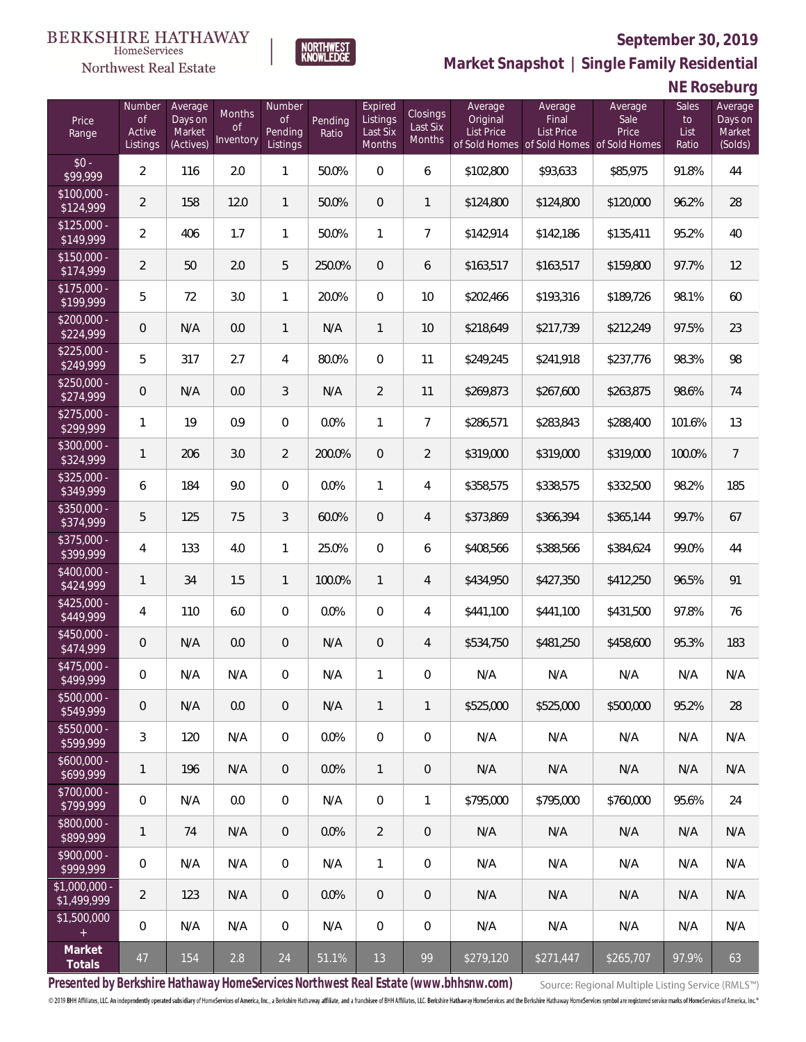

**NORTHWEST**<br>KNOWLEDGE

**Market Snapshot | Single Family Residential**

## **NE Roseburg**

| Price<br>Range                    | Number<br><b>of</b><br>Active<br>Listings | Average<br>Days on<br>Market<br>(Actives) | <b>Months</b><br>Οf<br>Inventory | Number<br><b>of</b><br>Pending<br>Listings | Pending<br>Ratio | Expired<br>Listings<br>Last Six<br>Months | <b>Closings</b><br>Last Six<br>Months | Average<br>Original<br><b>List Price</b> | Average<br>Final<br><b>List Price</b><br>of Sold Homes of Sold Homes of Sold Homes | Average<br>Sale<br>Price | Sales<br>to<br>List<br>Ratio | Average<br>Days on<br>Market<br>(Solds) |
|-----------------------------------|-------------------------------------------|-------------------------------------------|----------------------------------|--------------------------------------------|------------------|-------------------------------------------|---------------------------------------|------------------------------------------|------------------------------------------------------------------------------------|--------------------------|------------------------------|-----------------------------------------|
| $$0 -$<br>\$99,999                | $\overline{2}$                            | 116                                       | 2.0                              | $\mathbf{1}$                               | 50.0%            | $\overline{0}$                            | 6                                     | \$102,800                                | \$93,633                                                                           | \$85,975                 | 91.8%                        | 44                                      |
| $$100,000 -$<br>\$124,999         | $\overline{2}$                            | 158                                       | 12.0                             | $\mathbf{1}$                               | 50.0%            | $\overline{0}$                            | $\mathbf{1}$                          | \$124,800                                | \$124,800                                                                          | \$120,000                | 96.2%                        | 28                                      |
| $$125,000 -$<br>\$149,999         | $\overline{2}$                            | 406                                       | 1.7                              | 1                                          | 50.0%            | $\mathbf{1}$                              | $\overline{7}$                        | \$142,914                                | \$142,186                                                                          | \$135,411                | 95.2%                        | 40                                      |
| $$150,000 -$<br>\$174,999         | $\overline{2}$                            | 50                                        | 2.0                              | 5                                          | 250.0%           | $\overline{0}$                            | 6                                     | \$163,517                                | \$163,517                                                                          | \$159,800                | 97.7%                        | 12                                      |
| $$175,000 -$<br>\$199,999         | 5                                         | 72                                        | 3.0                              | $\mathbf{1}$                               | 20.0%            | $\overline{0}$                            | 10                                    | \$202,466                                | \$193,316                                                                          | \$189,726                | 98.1%                        | 60                                      |
| $$200,000 -$<br>\$224,999         | 0                                         | N/A                                       | 0.0                              | $\mathbf{1}$                               | N/A              | $\mathbf{1}$                              | 10                                    | \$218,649                                | \$217,739                                                                          | \$212,249                | 97.5%                        | 23                                      |
| $$225,000 -$<br>\$249,999         | 5                                         | 317                                       | 2.7                              | 4                                          | 80.0%            | $\overline{0}$                            | 11                                    | \$249,245                                | \$241,918                                                                          | \$237,776                | 98.3%                        | 98                                      |
| $$250,000 -$<br>\$274,999         | 0                                         | N/A                                       | 0.0                              | 3                                          | N/A              | $\overline{2}$                            | 11                                    | \$269,873                                | \$267,600                                                                          | \$263,875                | 98.6%                        | 74                                      |
| $$275,000 -$<br>\$299,999         | $\mathbf{1}$                              | 19                                        | 0.9                              | 0                                          | 0.0%             | 1                                         | $\overline{7}$                        | \$286,571                                | \$283,843                                                                          | \$288,400                | 101.6%                       | 13                                      |
| $$300,000 -$<br>\$324,999         | $\mathbf{1}$                              | 206                                       | 3.0                              | $\overline{2}$                             | 200.0%           | $\overline{0}$                            | $\overline{2}$                        | \$319,000                                | \$319,000                                                                          | \$319,000                | 100.0%                       | $\overline{7}$                          |
| $$325,000 -$<br>$\sqrt{$349,999}$ | 6                                         | 184                                       | 9.0                              | $\Omega$                                   | 0.0%             | $\mathbf{1}$                              | 4                                     | \$358,575                                | \$338,575                                                                          | \$332,500                | 98.2%                        | 185                                     |
| $$350,000 -$<br>\$374,999         | 5                                         | 125                                       | 7.5                              | 3                                          | 60.0%            | $\overline{0}$                            | 4                                     | \$373,869                                | \$366,394                                                                          | \$365,144                | 99.7%                        | 67                                      |
| $$375,000 -$<br>\$399,999         | 4                                         | 133                                       | 4.0                              | 1                                          | 25.0%            | $\overline{0}$                            | 6                                     | \$408,566                                | \$388,566                                                                          | \$384,624                | 99.0%                        | 44                                      |
| \$400,000 -<br>\$424,999          | $\mathbf{1}$                              | 34                                        | 1.5                              | $\mathbf{1}$                               | 100.0%           | $\mathbf{1}$                              | 4                                     | \$434,950                                | \$427,350                                                                          | \$412,250                | 96.5%                        | 91                                      |
| $$425,000 -$<br>\$449,999         | $\overline{4}$                            | 110                                       | 6.0                              | $\overline{0}$                             | 0.0%             | $\overline{0}$                            | 4                                     | \$441,100                                | \$441,100                                                                          | \$431,500                | 97.8%                        | 76                                      |
| $$450,000 -$<br>\$474,999         | 0                                         | N/A                                       | 0.0                              | 0                                          | N/A              | $\overline{0}$                            | 4                                     | \$534,750                                | \$481,250                                                                          | \$458,600                | 95.3%                        | 183                                     |
| \$475,000 -<br>\$499,999          | $\boldsymbol{0}$                          | N/A                                       | N/A                              | 0                                          | N/A              | 1                                         | 0                                     | N/A                                      | N/A                                                                                | N/A                      | N/A                          | N/A                                     |
| $$500,000 -$<br>\$549,999         | 0                                         | N/A                                       | 0.0                              | 0                                          | N/A              | $\mathbf{1}$                              | $\mathbf{1}$                          | \$525,000                                | \$525,000                                                                          | \$500,000                | 95.2%                        | 28                                      |
| $$550,000 -$<br>\$599,999         | $\mathfrak{Z}$                            | 120                                       | N/A                              | $\mathbf 0$                                | 0.0%             | $\mathbf 0$                               | $\boldsymbol{0}$                      | N/A                                      | N/A                                                                                | N/A                      | N/A                          | N/A                                     |
| $$600,000 -$<br>\$699,999         | 1                                         | 196                                       | N/A                              | $\overline{0}$                             | 0.0%             | $\mathbf{1}$                              | $\mathbf 0$                           | N/A                                      | N/A                                                                                | N/A                      | N/A                          | N/A                                     |
| $$700,000 -$<br>\$799,999         | 0                                         | N/A                                       | 0.0                              | $\overline{0}$                             | N/A              | $\mathbf 0$                               | $\mathbf{1}$                          | \$795,000                                | \$795,000                                                                          | \$760,000                | 95.6%                        | 24                                      |
| \$800,000 -<br>\$899,999          | 1                                         | 74                                        | N/A                              | $\overline{0}$                             | 0.0%             | $\overline{2}$                            | $\theta$                              | N/A                                      | N/A                                                                                | N/A                      | N/A                          | N/A                                     |
| \$900,000 -<br>\$999,999          | 0                                         | N/A                                       | N/A                              | $\mathbf 0$                                | N/A              | $\mathbf{1}$                              | 0                                     | N/A                                      | N/A                                                                                | N/A                      | N/A                          | N/A                                     |
| \$1,000,000 -<br>\$1,499,999      | $\overline{2}$                            | 123                                       | N/A                              | $\overline{0}$                             | 0.0%             | $\overline{0}$                            | $\theta$                              | N/A                                      | N/A                                                                                | N/A                      | N/A                          | N/A                                     |
| \$1,500,000<br>$\pm$              | $\boldsymbol{0}$                          | N/A                                       | N/A                              | $\overline{0}$                             | N/A              | $\mathbf 0$                               | $\,0\,$                               | N/A                                      | N/A                                                                                | N/A                      | N/A                          | N/A                                     |
| Market<br>Totals                  | $47\,$                                    | 154                                       | 2.8                              | 24                                         | 51.1%            | 13                                        | 99                                    | \$279,120                                | \$271,447                                                                          | \$265,707                | 97.9%                        | 63                                      |

**Presented by Berkshire Hathaway HomeServices Northwest Real Estate (www.bhhsnw.com)**

Source: Regional Multiple Listing Service (RMLS™)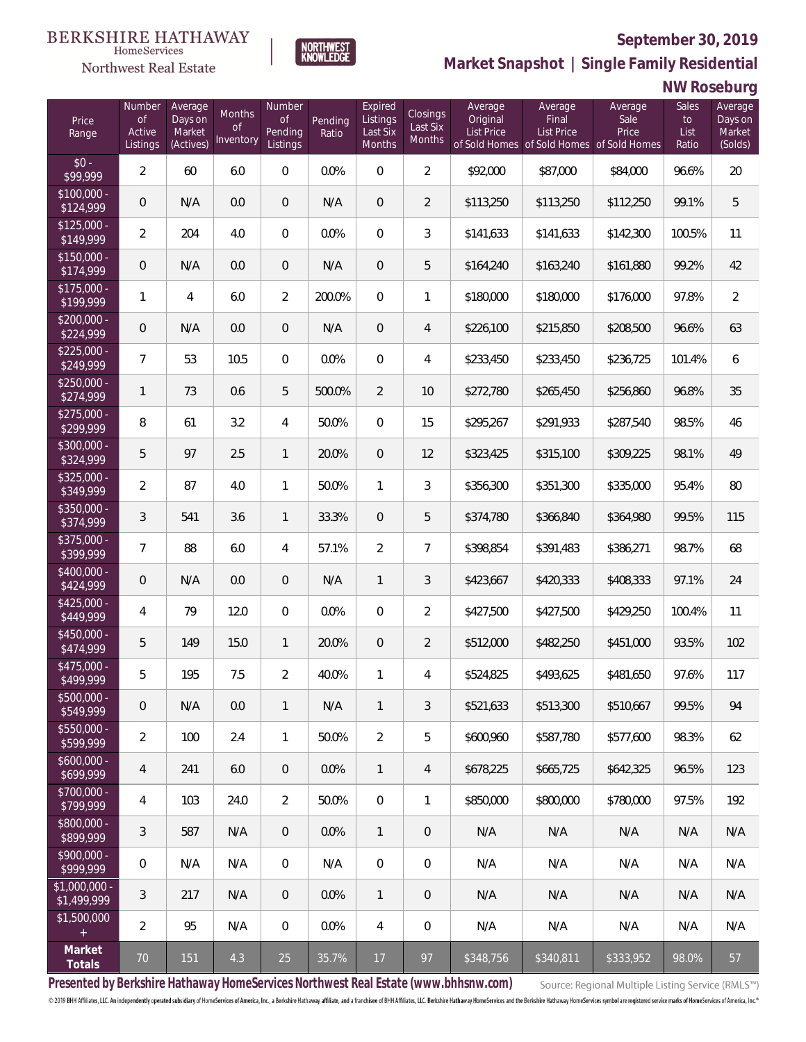

**NORTHWEST**<br>KNOWLEDGE

**Market Snapshot | Single Family Residential**

## **NW Roseburg**

| Price<br>Range                   | Number<br><b>of</b><br>Active<br>Listings | Average<br>Days on<br>Market<br>(Actives) | <b>Months</b><br>Οf<br>Inventory | Number<br><b>of</b><br>Pending<br>Listings | Pending<br>Ratio | Expired<br>Listings<br>Last Six<br>Months | Closings<br>Last Six<br>Months | Average<br>Original<br><b>List Price</b> | Average<br>Final<br><b>List Price</b><br>of Sold Homes of Sold Homes of Sold Homes | Average<br>Sale<br>Price | Sales<br>to<br>List<br>Ratio | Average<br>Days on<br>Market<br>(Solds) |
|----------------------------------|-------------------------------------------|-------------------------------------------|----------------------------------|--------------------------------------------|------------------|-------------------------------------------|--------------------------------|------------------------------------------|------------------------------------------------------------------------------------|--------------------------|------------------------------|-----------------------------------------|
| $$0 -$<br>\$99,999               | $\overline{2}$                            | 60                                        | 6.0                              | 0                                          | 0.0%             | $\overline{0}$                            | $\overline{2}$                 | \$92,000                                 | \$87,000                                                                           | \$84,000                 | 96.6%                        | 20                                      |
| $$100,000 -$<br>\$124,999        | 0                                         | N/A                                       | 0.0                              | $\overline{0}$                             | N/A              | $\overline{0}$                            | $\overline{2}$                 | \$113,250                                | \$113,250                                                                          | \$112,250                | 99.1%                        | 5                                       |
| $$125,000 -$<br>\$149,999        | $\overline{2}$                            | 204                                       | 4.0                              | $\overline{0}$                             | 0.0%             | $\overline{0}$                            | 3                              | \$141,633                                | \$141,633                                                                          | \$142,300                | 100.5%                       | 11                                      |
| $$150,000 -$<br>\$174,999        | 0                                         | N/A                                       | 0.0                              | 0                                          | N/A              | $\overline{0}$                            | 5                              | \$164,240                                | \$163,240                                                                          | \$161,880                | 99.2%                        | 42                                      |
| $$175,000 -$<br>\$199,999        | 1                                         | $\overline{4}$                            | 6.0                              | $\overline{2}$                             | 200.0%           | $\overline{0}$                            | $\mathbf{1}$                   | \$180,000                                | \$180,000                                                                          | \$176,000                | 97.8%                        | $\overline{2}$                          |
| $$200,000 -$<br>\$224,999        | 0                                         | N/A                                       | 0.0                              | $\overline{0}$                             | N/A              | $\overline{0}$                            | 4                              | \$226,100                                | \$215,850                                                                          | \$208,500                | 96.6%                        | 63                                      |
| $$225,000 -$<br>\$249,999        | $\overline{7}$                            | 53                                        | 10.5                             | $\overline{0}$                             | 0.0%             | $\overline{0}$                            | 4                              | \$233,450                                | \$233,450                                                                          | \$236,725                | 101.4%                       | 6                                       |
| $$250,000 -$<br>\$274,999        | $\mathbf{1}$                              | 73                                        | 0.6                              | 5                                          | 500.0%           | $\overline{2}$                            | 10                             | \$272,780                                | \$265,450                                                                          | \$256,860                | 96.8%                        | 35                                      |
| $$275,000 -$<br>\$299,999        | 8                                         | 61                                        | 3.2                              | 4                                          | 50.0%            | $\overline{0}$                            | 15                             | \$295,267                                | \$291,933                                                                          | \$287,540                | 98.5%                        | 46                                      |
| $$300,000 -$<br>\$324,999        | 5                                         | 97                                        | 2.5                              | $\mathbf{1}$                               | 20.0%            | $\overline{0}$                            | 12                             | \$323,425                                | \$315,100                                                                          | \$309,225                | 98.1%                        | 49                                      |
| $$325,000 -$<br>\$349,999        | $\overline{a}$                            | 87                                        | 4.0                              | 1                                          | 50.0%            | 1                                         | 3                              | \$356,300                                | \$351,300                                                                          | \$335,000                | 95.4%                        | 80                                      |
| $$350,000 -$<br>\$374,999        | 3                                         | 541                                       | 3.6                              | $\mathbf{1}$                               | 33.3%            | $\overline{0}$                            | 5                              | \$374,780                                | \$366,840                                                                          | \$364,980                | 99.5%                        | 115                                     |
| $$375,000 -$<br>\$399,999        | $\overline{7}$                            | 88                                        | 6.0                              | 4                                          | 57.1%            | $\overline{2}$                            | $\overline{7}$                 | \$398,854                                | \$391,483                                                                          | \$386,271                | 98.7%                        | 68                                      |
| \$400,000 -<br>\$424,999         | 0                                         | N/A                                       | 0.0                              | 0                                          | N/A              | $\mathbf{1}$                              | 3                              | \$423,667                                | \$420,333                                                                          | \$408,333                | 97.1%                        | 24                                      |
| $$425,000 -$<br>\$449,999        | 4                                         | 79                                        | 12.0                             | 0                                          | 0.0%             | $\overline{0}$                            | $\overline{2}$                 | \$427,500                                | \$427,500                                                                          | \$429,250                | 100.4%                       | 11                                      |
| $$450,000 -$<br>\$474,999        | 5                                         | 149                                       | 15.0                             | $\mathbf{1}$                               | 20.0%            | $\overline{0}$                            | $\overline{2}$                 | \$512,000                                | \$482,250                                                                          | \$451,000                | 93.5%                        | 102                                     |
| \$475,000 -<br>\$499,999         | 5                                         | 195                                       | 7.5                              | $\overline{2}$                             | 40.0%            | 1                                         | 4                              | \$524,825                                | \$493,625                                                                          | \$481,650                | 97.6%                        | 117                                     |
| $$500,000 -$<br>\$549,999        | 0                                         | N/A                                       | 0.0                              | 1                                          | N/A              | $\mathbf{1}$                              | 3                              | \$521,633                                | \$513,300                                                                          | \$510,667                | 99.5%                        | 94                                      |
| $$550,000 -$<br>\$599,999        | $\overline{2}$                            | 100                                       | 2.4                              | $\mathbf{1}$                               | 50.0%            | $\overline{2}$                            | 5                              | \$600,960                                | \$587,780                                                                          | \$577,600                | 98.3%                        | 62                                      |
| $$600,000 -$<br>5699,999         | $\overline{4}$                            | 241                                       | 6.0                              | $\overline{0}$                             | 0.0%             | $\mathbf{1}$                              | 4                              | \$678,225                                | \$665,725                                                                          | \$642,325                | 96.5%                        | 123                                     |
| \$700,000 -<br>\$799,999         | 4                                         | 103                                       | 24.0                             | $\overline{2}$                             | 50.0%            | $\mathbf 0$                               | $\mathbf{1}$                   | \$850,000                                | \$800,000                                                                          | \$780,000                | 97.5%                        | 192                                     |
| \$800,000 -<br>\$899,999         | $\sqrt{3}$                                | 587                                       | N/A                              | $\overline{0}$                             | 0.0%             | $\mathbf{1}$                              | $\overline{0}$                 | N/A                                      | N/A                                                                                | N/A                      | N/A                          | N/A                                     |
| \$900,000 -<br>$\sqrt{2999.999}$ | 0                                         | N/A                                       | N/A                              | $\overline{0}$                             | N/A              | $\mathbf 0$                               | 0                              | N/A                                      | N/A                                                                                | N/A                      | N/A                          | N/A                                     |
| $$1,000,000$ -<br>\$1,499,999    | 3                                         | 217                                       | N/A                              | $\overline{0}$                             | 0.0%             | $\mathbf{1}$                              | $\overline{0}$                 | N/A                                      | N/A                                                                                | N/A                      | N/A                          | N/A                                     |
| \$1,500,000<br>$+$               | $\overline{2}$                            | 95                                        | N/A                              | $\overline{0}$                             | 0.0%             | $\overline{4}$                            | 0                              | N/A                                      | N/A                                                                                | N/A                      | N/A                          | N/A                                     |
| Market<br>Totals                 | $70$                                      | 151                                       | 4.3                              | 25                                         | 35.7%            | 17                                        | 97                             | \$348,756                                | \$340,811                                                                          | \$333,952                | 98.0%                        | 57                                      |

**Presented by Berkshire Hathaway HomeServices Northwest Real Estate (www.bhhsnw.com)**

Source: Regional Multiple Listing Service (RMLS™)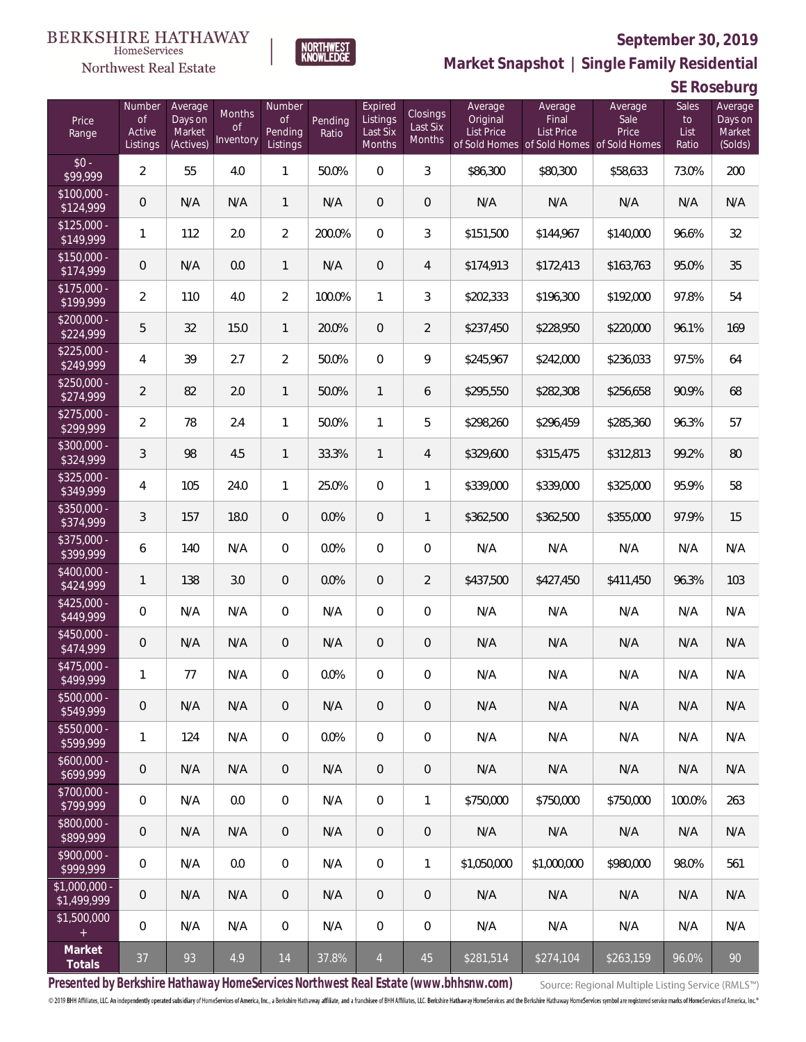

**NORTHWEST**<br>KNOWLEDGE

Northwest Real Estate

**Market Snapshot | Single Family Residential**

**SE Roseburg**

| Price<br>Range               | Number<br><b>of</b><br>Active<br>Listings | Average<br>Days on<br>Market<br>(Actives) | <b>Months</b><br>Οf<br>Inventory | Number<br>Οf<br>Pending<br>Listings | Pending<br>Ratio | Expired<br>Listings<br>Last Six<br>Months | <b>Closings</b><br>Last Six<br>Months | Average<br>Original<br><b>List Price</b> | Average<br>Final<br><b>List Price</b><br>of Sold Homes of Sold Homes of Sold Homes | Average<br>Sale<br>Price | Sales<br>to<br>List<br>Ratio | Average<br>Days on<br>Market<br>(Solds) |
|------------------------------|-------------------------------------------|-------------------------------------------|----------------------------------|-------------------------------------|------------------|-------------------------------------------|---------------------------------------|------------------------------------------|------------------------------------------------------------------------------------|--------------------------|------------------------------|-----------------------------------------|
| $$0 -$<br>\$99,999           | $\overline{2}$                            | 55                                        | 4.0                              | $\mathbf{1}$                        | 50.0%            | $\Omega$                                  | 3                                     | \$86,300                                 | \$80,300                                                                           | \$58,633                 | 73.0%                        | 200                                     |
| $$100,000 -$<br>\$124,999    | 0                                         | N/A                                       | N/A                              | $\mathbf{1}$                        | N/A              | $\overline{0}$                            | $\overline{0}$                        | N/A                                      | N/A                                                                                | N/A                      | N/A                          | N/A                                     |
| $$125,000 -$<br>\$149,999    | 1                                         | 112                                       | 2.0                              | $\overline{2}$                      | 200.0%           | $\Omega$                                  | 3                                     | \$151,500                                | \$144,967                                                                          | \$140,000                | 96.6%                        | 32                                      |
| $$150,000 -$<br>\$174,999    | 0                                         | N/A                                       | 0.0                              | $\mathbf{1}$                        | N/A              | $\overline{0}$                            | $\overline{4}$                        | \$174,913                                | \$172,413                                                                          | \$163,763                | 95.0%                        | 35                                      |
| $$175,000 -$<br>\$199,999    | $\overline{2}$                            | 110                                       | 4.0                              | $\overline{2}$                      | 100.0%           | $\mathbf{1}$                              | 3                                     | \$202,333                                | \$196,300                                                                          | \$192,000                | 97.8%                        | 54                                      |
| $$200,000 -$<br>\$224,999    | 5                                         | 32                                        | 15.0                             | $\mathbf{1}$                        | 20.0%            | $\overline{0}$                            | $\overline{2}$                        | \$237,450                                | \$228,950                                                                          | \$220,000                | 96.1%                        | 169                                     |
| $$225,000 -$<br>\$249,999    | 4                                         | 39                                        | 2.7                              | $\overline{2}$                      | 50.0%            | $\Omega$                                  | 9                                     | \$245,967                                | \$242,000                                                                          | \$236,033                | 97.5%                        | 64                                      |
| $$250,000 -$<br>\$274,999    | $\overline{2}$                            | 82                                        | 2.0                              | $\mathbf{1}$                        | 50.0%            | $\mathbf{1}$                              | 6                                     | \$295,550                                | \$282,308                                                                          | \$256,658                | 90.9%                        | 68                                      |
| $$275,000 -$<br>\$299,999    | $\overline{2}$                            | 78                                        | 2.4                              | $\mathbf{1}$                        | 50.0%            | $\mathbf{1}$                              | 5                                     | \$298,260                                | \$296,459                                                                          | \$285,360                | 96.3%                        | 57                                      |
| $$300,000 -$<br>\$324,999    | 3                                         | 98                                        | 4.5                              | $\mathbf{1}$                        | 33.3%            | $\mathbf{1}$                              | 4                                     | \$329,600                                | \$315,475                                                                          | \$312,813                | 99.2%                        | 80                                      |
| $$325,000 -$<br>\$349,999    | 4                                         | 105                                       | 24.0                             | $\mathbf{1}$                        | 25.0%            | $\overline{0}$                            | 1                                     | \$339,000                                | \$339,000                                                                          | \$325,000                | 95.9%                        | 58                                      |
| $$350,000 -$<br>\$374,999    | 3                                         | 157                                       | 18.0                             | $\overline{0}$                      | 0.0%             | $\overline{0}$                            | $\mathbf{1}$                          | \$362,500                                | \$362,500                                                                          | \$355,000                | 97.9%                        | 15                                      |
| \$375,000 -<br>\$399,999     | 6                                         | 140                                       | N/A                              | $\overline{0}$                      | 0.0%             | $\Omega$                                  | $\overline{0}$                        | N/A                                      | N/A                                                                                | N/A                      | N/A                          | N/A                                     |
| $$400,000 -$<br>\$424,999    | $\mathbf{1}$                              | 138                                       | 3.0                              | $\overline{0}$                      | 0.0%             | $\overline{0}$                            | $\overline{2}$                        | \$437,500                                | \$427,450                                                                          | \$411,450                | 96.3%                        | 103                                     |
| $$425,000 -$<br>\$449,999    | 0                                         | N/A                                       | N/A                              | $\overline{0}$                      | N/A              | $\overline{0}$                            | $\overline{0}$                        | N/A                                      | N/A                                                                                | N/A                      | N/A                          | N/A                                     |
| $$450,000 -$<br>\$474,999    | 0                                         | N/A                                       | N/A                              | $\overline{0}$                      | N/A              | $\overline{0}$                            | $\theta$                              | N/A                                      | N/A                                                                                | N/A                      | N/A                          | N/A                                     |
| \$475,000 -<br>\$499,999     | $\mathbf{1}$                              | 77                                        | N/A                              | 0                                   | 0.0%             | $\overline{0}$                            | $\mathbf 0$                           | N/A                                      | N/A                                                                                | N/A                      | N/A                          | N/A                                     |
| $$500,000 -$<br>\$549,999    | 0                                         | N/A                                       | N/A                              | $\theta$                            | N/A              | $\overline{0}$                            | $\theta$                              | N/A                                      | N/A                                                                                | N/A                      | N/A                          | N/A                                     |
| \$550,000 -<br>\$599,999     | $\mathbf{1}$                              | 124                                       | N/A                              | $\overline{0}$                      | 0.0%             | $\mathbf 0$                               | $\mathbf 0$                           | N/A                                      | N/A                                                                                | N/A                      | N/A                          | N/A                                     |
| $$600,000 -$<br>\$699,999    | 0                                         | N/A                                       | N/A                              | $\overline{0}$                      | N/A              | $\overline{0}$                            | $\mathbf 0$                           | N/A                                      | N/A                                                                                | N/A                      | N/A                          | N/A                                     |
| \$700,000 -<br>\$799,999     | 0                                         | N/A                                       | 0.0                              | $\mathbf 0$                         | N/A              | $\overline{0}$                            | $\mathbf{1}$                          | \$750,000                                | \$750,000                                                                          | \$750,000                | 100.0%                       | 263                                     |
| \$800,000 -<br>\$899,999     | 0                                         | N/A                                       | N/A                              | $\overline{0}$                      | N/A              | $\sqrt{0}$                                | $\mathbf 0$                           | N/A                                      | N/A                                                                                | N/A                      | N/A                          | N/A                                     |
| \$900,000 -<br>\$999,999     | 0                                         | N/A                                       | 0.0                              | $\overline{0}$                      | N/A              | $\mathbf 0$                               | $\mathbf{1}$                          | \$1,050,000                              | \$1,000,000                                                                        | \$980,000                | 98.0%                        | 561                                     |
| \$1,000,000 -<br>\$1,499,999 | 0                                         | N/A                                       | N/A                              | $\overline{0}$                      | N/A              | $\sqrt{0}$                                | $\mathbf 0$                           | N/A                                      | N/A                                                                                | N/A                      | N/A                          | N/A                                     |
| \$1,500,000<br>$\pm$         | 0                                         | N/A                                       | N/A                              | $\overline{0}$                      | N/A              | $\mathbf 0$                               | $\mathbf 0$                           | N/A                                      | N/A                                                                                | N/A                      | N/A                          | N/A                                     |
| Market<br>Totals             | 37                                        | 93                                        | 4.9                              | 14                                  | 37.8%            | $\overline{4}$                            | 45                                    | \$281,514                                | \$274,104                                                                          | \$263,159                | 96.0%                        | 90                                      |

**Presented by Berkshire Hathaway HomeServices Northwest Real Estate (www.bhhsnw.com)**

Source: Regional Multiple Listing Service (RMLS™)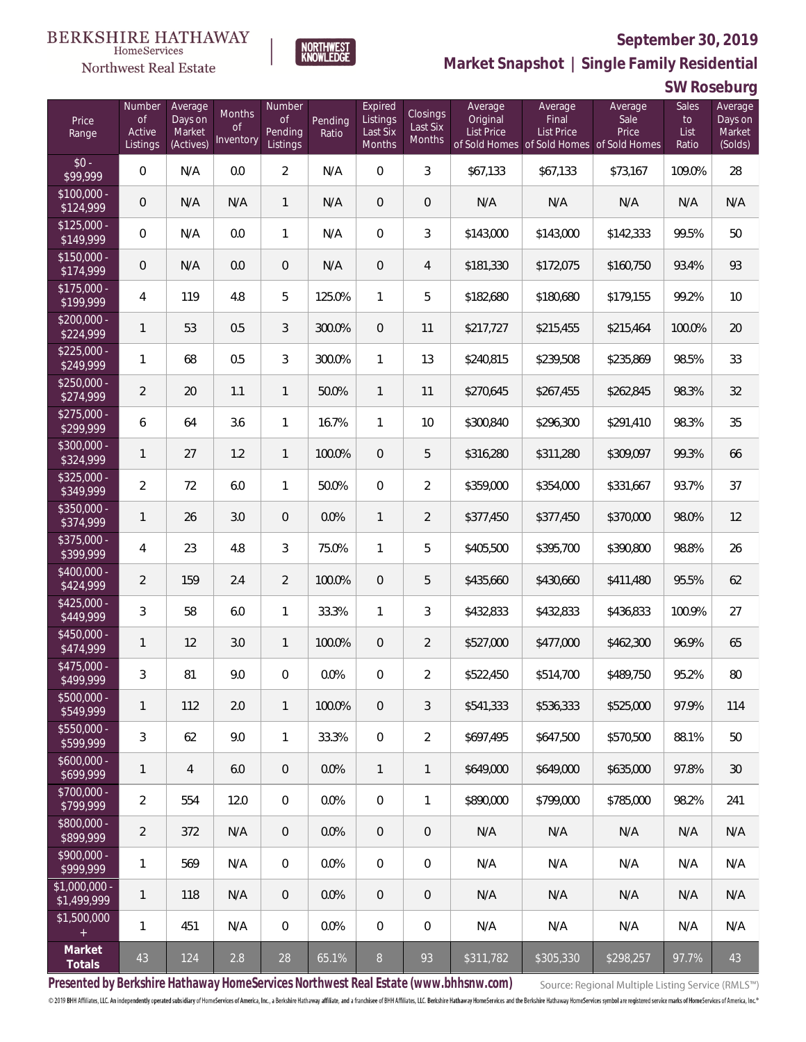

NORTHWEST<br>KNOWLEDGE

Northwest Real Estate

**Market Snapshot | Single Family Residential**

**SW Roseburg**

| Price<br>Range                | Number<br>of<br>Active<br>Listings | Average<br>Days on<br>Market<br>(Actives) | Months<br>Οf<br>Inventory | Number<br>Οf<br>Pending<br>Listings | Pending<br>Ratio | Expired<br>Listings<br>Last Six<br>Months | Closings<br>Last Six<br>Months | Average<br>Original<br><b>List Price</b> | Average<br>Final<br>List Price<br>of Sold Homes of Sold Homes of Sold Homes | Average<br>Sale<br>Price | Sales<br>to<br>List<br>Ratio | Average<br>Days on<br>Market<br>(Solds) |
|-------------------------------|------------------------------------|-------------------------------------------|---------------------------|-------------------------------------|------------------|-------------------------------------------|--------------------------------|------------------------------------------|-----------------------------------------------------------------------------|--------------------------|------------------------------|-----------------------------------------|
| $$0 -$<br>\$99,999            | $\overline{0}$                     | N/A                                       | 0.0                       | $\overline{2}$                      | N/A              | $\overline{0}$                            | 3                              | \$67,133                                 | \$67,133                                                                    | \$73,167                 | 109.0%                       | 28                                      |
| $$100,000 -$<br>\$124,999     | 0                                  | N/A                                       | N/A                       | $\mathbf{1}$                        | N/A              | $\overline{0}$                            | $\mathbf 0$                    | N/A                                      | N/A                                                                         | N/A                      | N/A                          | N/A                                     |
| $$125,000 -$<br>\$149,999     | $\mathbf 0$                        | N/A                                       | 0.0                       | $\mathbf{1}$                        | N/A              | $\overline{0}$                            | 3                              | \$143,000                                | \$143,000                                                                   | \$142,333                | 99.5%                        | 50                                      |
| $$150,000 -$<br>\$174,999     | 0                                  | N/A                                       | 0.0                       | $\overline{0}$                      | N/A              | $\boldsymbol{0}$                          | $\overline{4}$                 | \$181,330                                | \$172,075                                                                   | \$160,750                | 93.4%                        | 93                                      |
| $$175,000 -$<br>\$199,999     | 4                                  | 119                                       | 4.8                       | 5                                   | 125.0%           | $\mathbf{1}$                              | 5                              | \$182,680                                | \$180,680                                                                   | \$179,155                | 99.2%                        | 10                                      |
| $$200,000 -$<br>\$224,999     | 1                                  | 53                                        | 0.5                       | 3                                   | 300.0%           | $\overline{0}$                            | 11                             | \$217,727                                | \$215,455                                                                   | \$215,464                | 100.0%                       | 20                                      |
| $$225,000 -$<br>\$249,999     | 1                                  | 68                                        | 0.5                       | 3                                   | 300.0%           | $\mathbf{1}$                              | 13                             | \$240,815                                | \$239,508                                                                   | \$235,869                | 98.5%                        | 33                                      |
| $$250,000 -$<br>\$274,999     | $\overline{2}$                     | 20                                        | 1.1                       | $\mathbf{1}$                        | 50.0%            | $\mathbf{1}$                              | 11                             | \$270,645                                | \$267,455                                                                   | \$262,845                | 98.3%                        | 32                                      |
| $$275,000 -$<br>\$299,999     | 6                                  | 64                                        | 3.6                       | $\mathbf{1}$                        | 16.7%            | $\mathbf{1}$                              | 10                             | \$300,840                                | \$296,300                                                                   | \$291,410                | 98.3%                        | 35                                      |
| \$300,000 -<br>\$324,999      | 1                                  | 27                                        | 1.2                       | $\mathbf{1}$                        | 100.0%           | $\overline{0}$                            | 5                              | \$316,280                                | \$311,280                                                                   | \$309,097                | 99.3%                        | 66                                      |
| $$325,000 -$<br>\$349,999     | $\overline{2}$                     | 72                                        | 6.0                       | $\mathbf{1}$                        | 50.0%            | $\overline{0}$                            | $\overline{2}$                 | \$359,000                                | \$354,000                                                                   | \$331,667                | 93.7%                        | 37                                      |
| \$350,000 -<br>\$374,999      | 1                                  | 26                                        | 3.0                       | $\overline{0}$                      | 0.0%             | $\mathbf{1}$                              | $\overline{2}$                 | \$377,450                                | \$377,450                                                                   | \$370,000                | 98.0%                        | 12                                      |
| \$375,000 -<br>\$399,999      | 4                                  | 23                                        | 4.8                       | 3                                   | 75.0%            | $\mathbf{1}$                              | 5                              | \$405,500                                | \$395,700                                                                   | \$390,800                | 98.8%                        | 26                                      |
| $$400,000 -$<br>\$424,999     | 2                                  | 159                                       | 2.4                       | $\overline{2}$                      | 100.0%           | $\overline{0}$                            | 5                              | \$435,660                                | \$430,660                                                                   | \$411,480                | 95.5%                        | 62                                      |
| $$425,000 -$<br>\$449,999     | 3                                  | 58                                        | 6.0                       | $\mathbf{1}$                        | 33.3%            | $\mathbf{1}$                              | 3                              | \$432,833                                | \$432,833                                                                   | \$436,833                | 100.9%                       | 27                                      |
| \$450,000 -<br>\$474,999      | 1                                  | 12                                        | 3.0                       | $\mathbf{1}$                        | 100.0%           | $\overline{0}$                            | $\overline{2}$                 | \$527,000                                | \$477,000                                                                   | \$462,300                | 96.9%                        | 65                                      |
| $$475,000 -$<br>\$499,999     | 3                                  | 81                                        | 9.0                       | $\overline{0}$                      | 0.0%             | $\overline{0}$                            | $\overline{2}$                 | \$522,450                                | \$514,700                                                                   | \$489,750                | 95.2%                        | 80                                      |
| $$500,000 -$<br>\$549,999     | 1                                  | 112                                       | 2.0                       | $\mathbf{1}$                        | 100.0%           | $\overline{0}$                            | 3                              | \$541,333                                | \$536,333                                                                   | \$525,000                | 97.9%                        | 114                                     |
| $$550,000 -$<br>\$599,999     | 3                                  | 62                                        | 9.0                       | $\mathbf{1}$                        | 33.3%            | $\overline{0}$                            | $\overline{2}$                 | \$697,495                                | \$647,500                                                                   | \$570,500                | 88.1%                        | 50                                      |
| $$600,000 -$<br>\$699,999     | 1                                  | $\overline{4}$                            | 6.0                       | $\overline{0}$                      | 0.0%             | $\mathbf{1}$                              | $\mathbf{1}$                   | \$649,000                                | \$649,000                                                                   | \$635,000                | 97.8%                        | 30                                      |
| $$700,000 -$<br>\$799,999     | 2                                  | 554                                       | 12.0                      | $\overline{0}$                      | 0.0%             | $\overline{0}$                            | 1                              | \$890,000                                | \$799,000                                                                   | \$785,000                | 98.2%                        | 241                                     |
| $$800,000 -$<br>\$899,999     | $\overline{2}$                     | 372                                       | N/A                       | $\overline{0}$                      | 0.0%             | $\overline{0}$                            | $\mathbf 0$                    | N/A                                      | N/A                                                                         | N/A                      | N/A                          | N/A                                     |
| $$900,000 -$<br>\$999,999     | 1                                  | 569                                       | N/A                       | $\overline{0}$                      | 0.0%             | $\overline{0}$                            | 0                              | N/A                                      | N/A                                                                         | N/A                      | N/A                          | N/A                                     |
| $$1,000,000 -$<br>\$1,499,999 | 1                                  | 118                                       | N/A                       | $\overline{0}$                      | 0.0%             | $\overline{0}$                            | $\mathbf 0$                    | N/A                                      | N/A                                                                         | N/A                      | N/A                          | N/A                                     |
| \$1,500,000<br>$+$            | 1                                  | 451                                       | N/A                       | $\mathbf 0$                         | 0.0%             | 0                                         | 0                              | N/A                                      | N/A                                                                         | N/A                      | N/A                          | N/A                                     |
| Market<br>Totals              | 43                                 | 124                                       | 2.8                       | 28                                  | 65.1%            | 8                                         | 93                             | \$311,782                                | \$305,330                                                                   | \$298,257                | 97.7%                        | 43                                      |

**Presented by Berkshire Hathaway HomeServices Northwest Real Estate (www.bhhsnw.com)**

Source: Regional Multiple Listing Service (RMLS™)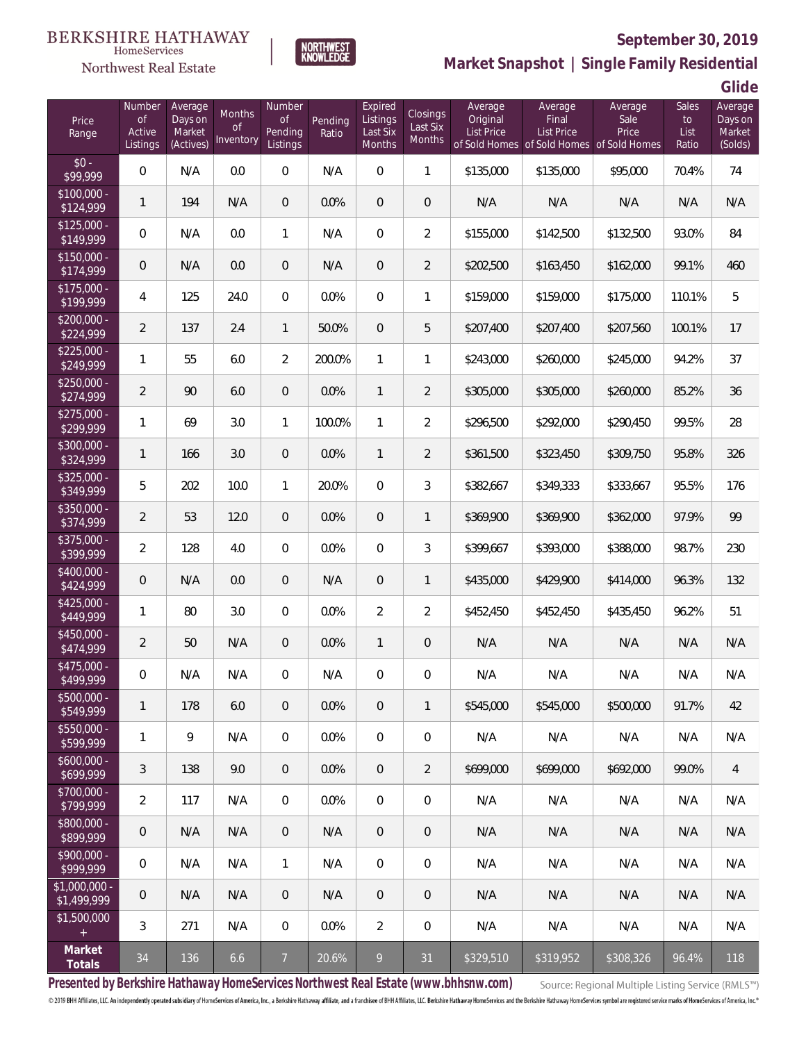#### BERKSHIRE HATHAWAY HomeServices

# Northwest Real Estate



# **September 30, 2019**

**Market Snapshot | Single Family Residential**

**Glide**

| Price<br>Range                | Number<br><b>of</b><br>Active | Average<br>Days on<br>Market | <b>Months</b><br><b>of</b> | Number<br>of<br>Pending | Pending<br>Ratio | Expired<br>Listings<br>Last Six | <b>Closings</b><br>Last Six<br><b>Months</b> | Average<br>Original<br><b>List Price</b> | Average<br>Final<br><b>List Price</b>     | Average<br>Sale<br>Price | Sales<br>to<br>List | Average<br>Days on<br>Market |
|-------------------------------|-------------------------------|------------------------------|----------------------------|-------------------------|------------------|---------------------------------|----------------------------------------------|------------------------------------------|-------------------------------------------|--------------------------|---------------------|------------------------------|
|                               | Listings                      | (Actives)                    | Inventory                  | Listings                |                  | Months                          |                                              |                                          | of Sold Homes of Sold Homes of Sold Homes |                          | Ratio               | (Solds)                      |
| $$0 -$<br>\$99,999            | 0                             | N/A                          | 0.0                        | 0                       | N/A              | $\boldsymbol{0}$                | $\mathbf{1}$                                 | \$135,000                                | \$135,000                                 | \$95,000                 | 70.4%               | 74                           |
| $$100,000 -$<br>\$124,999     | $\mathbf{1}$                  | 194                          | N/A                        | 0                       | 0.0%             | $\overline{0}$                  | $\mathbf 0$                                  | N/A                                      | N/A                                       | N/A                      | N/A                 | N/A                          |
| $$125,000 -$<br>\$149,999     | 0                             | N/A                          | 0.0                        | 1                       | N/A              | $\boldsymbol{0}$                | $\overline{2}$                               | \$155,000                                | \$142,500                                 | \$132,500                | 93.0%               | 84                           |
| $$150,000 -$<br>\$174,999     | 0                             | N/A                          | 0.0                        | 0                       | N/A              | $\overline{0}$                  | $\overline{2}$                               | \$202,500                                | \$163,450                                 | \$162,000                | 99.1%               | 460                          |
| $$175,000 -$<br>\$199,999     | 4                             | 125                          | 24.0                       | 0                       | 0.0%             | $\mathbf 0$                     | 1                                            | \$159,000                                | \$159,000                                 | \$175,000                | 110.1%              | 5                            |
| $$200,000 -$<br>\$224,999     | $\overline{2}$                | 137                          | 2.4                        | 1                       | 50.0%            | $\boldsymbol{0}$                | 5                                            | \$207,400                                | \$207,400                                 | \$207,560                | 100.1%              | 17                           |
| $$225,000 -$<br>\$249,999     | $\mathbf{1}$                  | 55                           | 6.0                        | $\overline{2}$          | 200.0%           | $\mathbf{1}$                    | 1                                            | \$243,000                                | \$260,000                                 | \$245,000                | 94.2%               | 37                           |
| $$250,000 -$<br>\$274,999     | $\overline{2}$                | 90                           | 6.0                        | 0                       | 0.0%             | $\mathbf{1}$                    | $\overline{2}$                               | \$305,000                                | \$305,000                                 | \$260,000                | 85.2%               | 36                           |
| $$275,000 -$<br>\$299,999     | $\mathbf{1}$                  | 69                           | 3.0                        | 1                       | 100.0%           | $\mathbf{1}$                    | $\overline{2}$                               | \$296,500                                | \$292,000                                 | \$290,450                | 99.5%               | 28                           |
| $$300,000 -$<br>\$324,999     | $\mathbf{1}$                  | 166                          | 3.0                        | 0                       | 0.0%             | $\mathbf{1}$                    | $\overline{2}$                               | \$361,500                                | \$323,450                                 | \$309,750                | 95.8%               | 326                          |
| $$325,000 -$<br>\$349,999     | 5                             | 202                          | 10.0                       | $\mathbf{1}$            | 20.0%            | $\mathbf 0$                     | 3                                            | \$382,667                                | \$349,333                                 | \$333,667                | 95.5%               | 176                          |
| $$350,000 -$<br>\$374,999     | $\overline{2}$                | 53                           | 12.0                       | 0                       | 0.0%             | $\mathbf 0$                     | $\mathbf{1}$                                 | \$369,900                                | \$369,900                                 | \$362,000                | 97.9%               | 99                           |
| $$375,000 -$<br>\$399,999     | $\overline{2}$                | 128                          | 4.0                        | 0                       | 0.0%             | $\overline{0}$                  | 3                                            | \$399,667                                | \$393,000                                 | \$388,000                | 98.7%               | 230                          |
| $$400,000 -$<br>\$424,999     | $\mathbf 0$                   | N/A                          | 0.0                        | 0                       | N/A              | $\mathbf 0$                     | $\mathbf{1}$                                 | \$435,000                                | \$429,900                                 | \$414,000                | 96.3%               | 132                          |
| $$425,000 -$<br>\$449,999     | $\mathbf{1}$                  | 80                           | 3.0                        | 0                       | 0.0%             | $\overline{2}$                  | $\overline{2}$                               | \$452,450                                | \$452,450                                 | \$435,450                | 96.2%               | 51                           |
| \$450,000 -<br>\$474,999      | $\overline{2}$                | 50                           | N/A                        | 0                       | 0.0%             | $\mathbf{1}$                    | $\mathbf 0$                                  | N/A                                      | N/A                                       | N/A                      | N/A                 | N/A                          |
| \$475,000 -<br>\$499,999      | 0                             | N/A                          | N/A                        | 0                       | N/A              | 0                               | 0                                            | N/A                                      | N/A                                       | N/A                      | N/A                 | N/A                          |
| $$500,000 -$<br>\$549,999     | $\mathbf{1}$                  | 178                          | 6.0                        | $\mathbf 0$             | 0.0%             | $\mathbf 0$                     | $\mathbf{1}$                                 | \$545,000                                | \$545,000                                 | \$500,000                | 91.7%               | 42                           |
| $$550,000 -$<br>\$599,999     | $\mathbf{1}$                  | 9                            | N/A                        | $\overline{0}$          | 0.0%             | $\overline{0}$                  | $\mathbf 0$                                  | N/A                                      | N/A                                       | N/A                      | N/A                 | N/A                          |
| $$600,000 -$<br>\$699,999     | $\mathfrak{Z}$                | 138                          | 9.0                        | $\mathbf 0$             | 0.0%             | $\mathbf 0$                     | $\overline{2}$                               | \$699,000                                | \$699,000                                 | \$692,000                | 99.0%               | $\overline{4}$               |
| $$700,000 -$<br>\$799,999     | $\overline{2}$                | 117                          | N/A                        | $\overline{0}$          | 0.0%             | $\mathbf 0$                     | $\mathbf 0$                                  | N/A                                      | N/A                                       | N/A                      | N/A                 | N/A                          |
| \$800,000 -<br>\$899,999      | $\mathbf 0$                   | N/A                          | N/A                        | $\overline{0}$          | N/A              | $\overline{0}$                  | $\sqrt{0}$                                   | N/A                                      | N/A                                       | N/A                      | N/A                 | N/A                          |
| \$900,000 -<br>\$999,999      | 0                             | N/A                          | N/A                        | $\mathbf{1}$            | N/A              | $\mathbf 0$                     | $\mathbf 0$                                  | N/A                                      | N/A                                       | N/A                      | N/A                 | N/A                          |
| $$1,000,000$ -<br>\$1,499,999 | 0                             | N/A                          | N/A                        | $\overline{0}$          | N/A              | $\overline{0}$                  | 0                                            | N/A                                      | N/A                                       | N/A                      | N/A                 | N/A                          |
| \$1,500,000<br>$\pm$          | 3                             | 271                          | N/A                        | $\mathbf 0$             | 0.0%             | $\overline{2}$                  | $\mathbf 0$                                  | N/A                                      | N/A                                       | N/A                      | N/A                 | N/A                          |
| Market<br>Totals              | 34                            | 136                          | 6.6                        | 7 <sup>7</sup>          | 20.6%            | 9                               | 31                                           | \$329,510                                | \$319,952                                 | \$308,326                | 96.4%               | 118                          |

**Presented by Berkshire Hathaway HomeServices Northwest Real Estate (www.bhhsnw.com)**

Source: Regional Multiple Listing Service (RMLS™)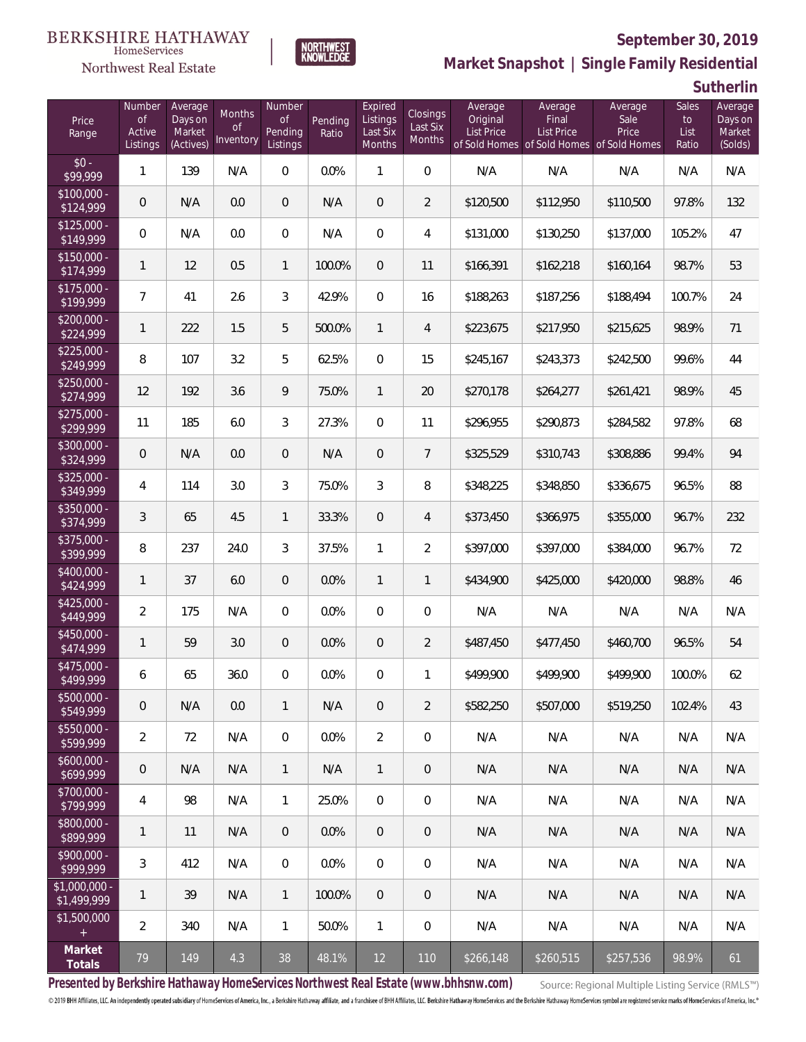

Northwest Real Estate

**Market Snapshot | Single Family Residential**

**Sutherlin**

| Price<br>Range                    | Number<br><b>of</b><br>Active<br>Listings | Average<br>Days on<br>Market<br>(Actives) | Months<br><b>of</b><br>Inventory | Number<br><b>of</b><br>Pending<br>Listings | Pending<br>Ratio | Expired<br>Listings<br>Last Six<br>Months | <b>Closings</b><br>Last Six<br>Months | Average<br>Original<br><b>List Price</b> | Average<br>Final<br>List Price | Average<br>Sale<br>Price<br>of Sold Homes of Sold Homes of Sold Homes | Sales<br>to<br>List<br>Ratio | Average<br>Days on<br>Market<br>(Solds) |
|-----------------------------------|-------------------------------------------|-------------------------------------------|----------------------------------|--------------------------------------------|------------------|-------------------------------------------|---------------------------------------|------------------------------------------|--------------------------------|-----------------------------------------------------------------------|------------------------------|-----------------------------------------|
| $$0 -$<br>\$99,999                | 1                                         | 139                                       | N/A                              | $\overline{0}$                             | 0.0%             | 1                                         | $\overline{0}$                        | N/A                                      | N/A                            | N/A                                                                   | N/A                          | N/A                                     |
| $$100,000 -$<br>$\sqrt{$124,999}$ | $\overline{0}$                            | N/A                                       | 0.0                              | $\overline{0}$                             | N/A              | $\overline{0}$                            | $\overline{2}$                        | \$120,500                                | \$112,950                      | \$110,500                                                             | 97.8%                        | 132                                     |
| $$125,000 -$<br>\$149,999         | $\overline{0}$                            | N/A                                       | 0.0                              | $\overline{0}$                             | N/A              | $\overline{0}$                            | 4                                     | \$131,000                                | \$130,250                      | \$137,000                                                             | 105.2%                       | 47                                      |
| $$150,000 -$<br>\$174,999         | 1                                         | 12                                        | 0.5                              | $\mathbf{1}$                               | 100.0%           | $\overline{0}$                            | 11                                    | \$166,391                                | \$162,218                      | \$160,164                                                             | 98.7%                        | 53                                      |
| $$175,000 -$<br>\$199,999         | 7                                         | 41                                        | 2.6                              | 3                                          | 42.9%            | $\overline{0}$                            | 16                                    | \$188,263                                | \$187,256                      | \$188,494                                                             | 100.7%                       | 24                                      |
| $$200,000 -$<br>\$224,999         | 1                                         | 222                                       | 1.5                              | 5                                          | 500.0%           | $\mathbf{1}$                              | $\overline{4}$                        | \$223,675                                | \$217,950                      | \$215,625                                                             | 98.9%                        | 71                                      |
| $$225,000 -$<br>\$249,999         | 8                                         | 107                                       | 3.2                              | 5                                          | 62.5%            | $\overline{0}$                            | 15                                    | \$245,167                                | \$243,373                      | \$242,500                                                             | 99.6%                        | 44                                      |
| $$250,000 -$<br>\$274,999         | 12                                        | 192                                       | 3.6                              | 9                                          | 75.0%            | $\mathbf{1}$                              | 20                                    | \$270,178                                | \$264,277                      | \$261,421                                                             | 98.9%                        | 45                                      |
| $$275,000 -$<br>\$299,999         | 11                                        | 185                                       | 6.0                              | 3                                          | 27.3%            | $\overline{0}$                            | 11                                    | \$296,955                                | \$290,873                      | \$284,582                                                             | 97.8%                        | 68                                      |
| $$300,000 -$<br>\$324,999         | $\overline{0}$                            | N/A                                       | 0.0                              | $\overline{0}$                             | N/A              | $\overline{0}$                            | $\overline{7}$                        | \$325,529                                | \$310,743                      | \$308,886                                                             | 99.4%                        | 94                                      |
| $$325,000 -$<br>\$349,999         | 4                                         | 114                                       | 3.0                              | 3                                          | 75.0%            | 3                                         | 8                                     | \$348,225                                | \$348,850                      | \$336,675                                                             | 96.5%                        | 88                                      |
| $$350,000 -$<br>\$374,999         | 3                                         | 65                                        | 4.5                              | $\mathbf{1}$                               | 33.3%            | $\overline{0}$                            | $\overline{4}$                        | \$373,450                                | \$366,975                      | \$355,000                                                             | 96.7%                        | 232                                     |
| $$375,000 -$<br>\$399,999         | 8                                         | 237                                       | 24.0                             | 3                                          | 37.5%            | $\mathbf{1}$                              | $\overline{2}$                        | \$397,000                                | \$397,000                      | \$384,000                                                             | 96.7%                        | 72                                      |
| \$400,000 -<br>\$424,999          | 1                                         | 37                                        | 6.0                              | $\overline{0}$                             | 0.0%             | $\mathbf{1}$                              | $\mathbf{1}$                          | \$434,900                                | \$425,000                      | \$420,000                                                             | 98.8%                        | 46                                      |
| $$425,000 -$<br>\$449,999         | $\overline{a}$                            | 175                                       | N/A                              | $\mathbf{0}$                               | 0.0%             | $\overline{0}$                            | $\overline{0}$                        | N/A                                      | N/A                            | N/A                                                                   | N/A                          | N/A                                     |
| $$450,000 -$<br>\$474,999         | 1                                         | 59                                        | 3.0                              | $\overline{0}$                             | 0.0%             | $\overline{0}$                            | $\overline{2}$                        | \$487,450                                | \$477,450                      | \$460,700                                                             | 96.5%                        | 54                                      |
| $$475,000 -$<br>\$499,999         | 6                                         | 65                                        | 36.0                             | $\mathbf{0}$                               | 0.0%             | $\mathbf{0}$                              | 1                                     | \$499,900                                | \$499,900                      | \$499,900                                                             | 100.0%                       | 62                                      |
| $$500,000 -$<br>\$549,999         | $\mathbf 0$                               | N/A                                       | 0.0                              | $\mathbf{1}$                               | N/A              | $\theta$                                  | $\overline{2}$                        | \$582,250                                | \$507,000                      | \$519,250                                                             | 102.4%                       | 43                                      |
| \$550,000 -<br>\$599,999          | $\overline{2}$                            | 72                                        | N/A                              | $\mathbf 0$                                | 0.0%             | $\overline{2}$                            | $\mathbf 0$                           | N/A                                      | N/A                            | N/A                                                                   | N/A                          | N/A                                     |
| $$600,000 -$<br>5699,999          | $\mathbf 0$                               | N/A                                       | N/A                              | $\mathbf{1}$                               | N/A              | $\mathbf{1}$                              | $\mathbf 0$                           | N/A                                      | N/A                            | N/A                                                                   | N/A                          | N/A                                     |
| \$700,000 -<br>\$799,999          | 4                                         | 98                                        | N/A                              | $\mathbf{1}$                               | 25.0%            | $\mathbf 0$                               | 0                                     | N/A                                      | N/A                            | N/A                                                                   | N/A                          | N/A                                     |
| \$800,000 -<br>\$899,999          | 1                                         | 11                                        | N/A                              | $\overline{0}$                             | 0.0%             | $\overline{0}$                            | $\mathbf 0$                           | N/A                                      | N/A                            | N/A                                                                   | N/A                          | N/A                                     |
| \$900,000 -<br>$\sqrt{2999,999}$  | 3                                         | 412                                       | N/A                              | $\mathbf 0$                                | 0.0%             | $\mathbf 0$                               | $\mathbf 0$                           | N/A                                      | N/A                            | N/A                                                                   | N/A                          | N/A                                     |
| $$1,000,000$ -<br>\$1,499,999     | 1                                         | 39                                        | N/A                              | $\mathbf{1}$                               | 100.0%           | $\overline{0}$                            | $\mathbf 0$                           | N/A                                      | N/A                            | N/A                                                                   | N/A                          | N/A                                     |
| \$1,500,000<br>$+$                | $\overline{2}$                            | 340                                       | N/A                              | $\mathbf{1}$                               | 50.0%            | $\mathbf{1}$                              | $\mathbf 0$                           | N/A                                      | N/A                            | N/A                                                                   | N/A                          | N/A                                     |
| Market<br>Totals                  | 79                                        | 149                                       | 4.3                              | 38                                         | 48.1%            | 12                                        | 110                                   | \$266,148                                | \$260,515                      | \$257,536                                                             | 98.9%                        | 61                                      |

**NORTHWEST**<br>KNOWLEDGE

**Presented by Berkshire Hathaway HomeServices Northwest Real Estate (www.bhhsnw.com)**

Source: Regional Multiple Listing Service (RMLS™)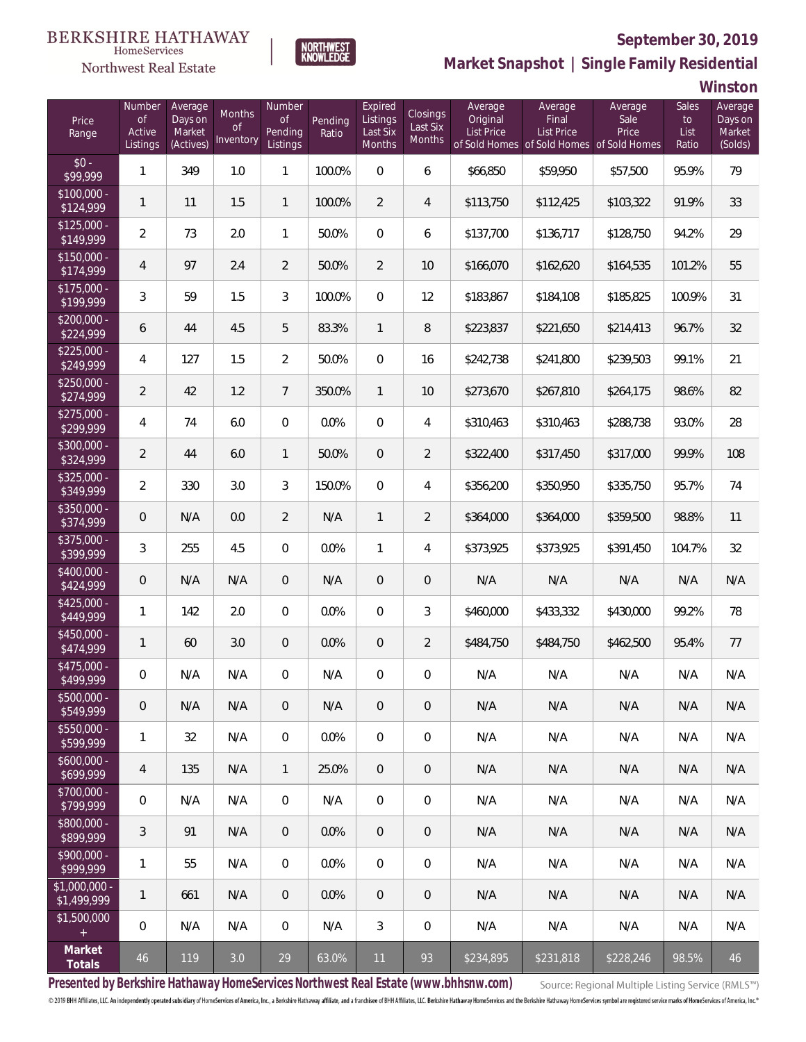

**NORTHWEST**<br>KNOWLEDGE

Northwest Real Estate

**Market Snapshot | Single Family Residential**

**Winston**

| Price<br>Range                | Number<br><b>of</b><br>Active<br>Listings | Average<br>Days on<br>Market<br>(Actives) | Months<br>Οf<br>Inventory | Number<br><b>of</b><br>Pending<br>Listings | Pending<br>Ratio | Expired<br>Listings<br>Last Six<br>Months | Closings<br>Last Six<br>Months | Average<br>Original<br><b>List Price</b> | Average<br>Final<br><b>List Price</b><br>of Sold Homes of Sold Homes of Sold Homes | Average<br>Sale<br>Price | Sales<br>to<br>List<br>Ratio | Average<br>Days on<br>Market<br>(Solds) |
|-------------------------------|-------------------------------------------|-------------------------------------------|---------------------------|--------------------------------------------|------------------|-------------------------------------------|--------------------------------|------------------------------------------|------------------------------------------------------------------------------------|--------------------------|------------------------------|-----------------------------------------|
| $$0 -$<br>\$99,999            | $\mathbf{1}$                              | 349                                       | 1.0                       | $\mathbf{1}$                               | 100.0%           | $\overline{0}$                            | 6                              | \$66,850                                 | \$59,950                                                                           | \$57,500                 | 95.9%                        | 79                                      |
| $$100,000 -$<br>\$124,999     | $\mathbf{1}$                              | 11                                        | 1.5                       | $\mathbf{1}$                               | 100.0%           | $\overline{2}$                            | $\overline{4}$                 | \$113,750                                | \$112,425                                                                          | \$103,322                | 91.9%                        | 33                                      |
| $$125,000 -$<br>\$149,999     | $\overline{a}$                            | 73                                        | 2.0                       | $\mathbf{1}$                               | 50.0%            | $\overline{0}$                            | 6                              | \$137,700                                | \$136,717                                                                          | \$128,750                | 94.2%                        | 29                                      |
| $$150,000 -$<br>\$174,999     | $\overline{4}$                            | 97                                        | 2.4                       | $\overline{2}$                             | 50.0%            | $\overline{2}$                            | 10                             | \$166,070                                | \$162,620                                                                          | \$164,535                | 101.2%                       | 55                                      |
| $$175,000 -$<br>\$199,999     | 3                                         | 59                                        | 1.5                       | 3                                          | 100.0%           | $\Omega$                                  | 12                             | \$183,867                                | \$184,108                                                                          | \$185,825                | 100.9%                       | 31                                      |
| $$200,000 -$<br>\$224,999     | 6                                         | 44                                        | 4.5                       | 5                                          | 83.3%            | $\mathbf{1}$                              | 8                              | \$223,837                                | \$221,650                                                                          | \$214,413                | 96.7%                        | 32                                      |
| $$225,000 -$<br>\$249,999     | 4                                         | 127                                       | 1.5                       | $\overline{2}$                             | 50.0%            | $\overline{0}$                            | 16                             | \$242,738                                | \$241,800                                                                          | \$239,503                | 99.1%                        | 21                                      |
| $$250,000 -$<br>\$274,999     | $\overline{2}$                            | 42                                        | 1.2                       | $\overline{7}$                             | 350.0%           | $\mathbf{1}$                              | 10                             | \$273,670                                | \$267,810                                                                          | \$264,175                | 98.6%                        | 82                                      |
| $$275,000 -$<br>\$299,999     | 4                                         | 74                                        | 6.0                       | $\overline{0}$                             | 0.0%             | $\overline{0}$                            | 4                              | \$310,463                                | \$310,463                                                                          | \$288,738                | 93.0%                        | 28                                      |
| $$300,000 -$<br>\$324,999     | $\overline{2}$                            | 44                                        | 6.0                       | $\mathbf{1}$                               | 50.0%            | $\overline{0}$                            | $\overline{2}$                 | \$322,400                                | \$317,450                                                                          | \$317,000                | 99.9%                        | 108                                     |
| $$325,000 -$<br>\$349,999     | $\overline{a}$                            | 330                                       | 3.0                       | 3                                          | 150.0%           | $\overline{0}$                            | 4                              | \$356,200                                | \$350,950                                                                          | \$335,750                | 95.7%                        | 74                                      |
| $$350,000 -$<br>\$374,999     | 0                                         | N/A                                       | 0.0                       | $\overline{2}$                             | N/A              | $\mathbf{1}$                              | $\overline{2}$                 | \$364,000                                | \$364,000                                                                          | \$359,500                | 98.8%                        | 11                                      |
| $$375,000 -$<br>\$399,999     | 3                                         | 255                                       | 4.5                       | $\overline{0}$                             | 0.0%             | 1                                         | 4                              | \$373,925                                | \$373,925                                                                          | \$391,450                | 104.7%                       | 32                                      |
| $$400,000 -$<br>\$424,999     | 0                                         | N/A                                       | N/A                       | 0                                          | N/A              | $\overline{0}$                            | 0                              | N/A                                      | N/A                                                                                | N/A                      | N/A                          | N/A                                     |
| \$425,000 -<br>\$449,999      | $\mathbf{1}$                              | 142                                       | 2.0                       | $\mathbf{0}$                               | 0.0%             | $\overline{0}$                            | 3                              | \$460,000                                | \$433,332                                                                          | \$430,000                | 99.2%                        | 78                                      |
| $$450,000 -$<br>\$474,999     | $\mathbf{1}$                              | 60                                        | 3.0                       | 0                                          | 0.0%             | $\overline{0}$                            | $\overline{2}$                 | \$484,750                                | \$484,750                                                                          | \$462,500                | 95.4%                        | 77                                      |
| \$475,000 -<br>\$499,999      | 0                                         | N/A                                       | N/A                       | 0                                          | N/A              | $\overline{0}$                            | $\boldsymbol{0}$               | N/A                                      | N/A                                                                                | N/A                      | N/A                          | N/A                                     |
| $$500,000 -$<br>\$549,999     | 0                                         | N/A                                       | N/A                       | 0                                          | N/A              | $\mathbf 0$                               | $\theta$                       | N/A                                      | N/A                                                                                | N/A                      | N/A                          | N/A                                     |
| $$550,000 -$<br>\$599,999     | 1                                         | 32                                        | N/A                       | $\overline{0}$                             | 0.0%             | $\mathbf 0$                               | $\mathbf 0$                    | N/A                                      | N/A                                                                                | N/A                      | N/A                          | N/A                                     |
| \$600,000 -<br>\$699,999      | 4                                         | 135                                       | N/A                       | 1                                          | 25.0%            | $\overline{0}$                            | $\theta$                       | N/A                                      | N/A                                                                                | N/A                      | N/A                          | N/A                                     |
| $$700,000 -$<br>\$799,999     | 0                                         | N/A                                       | N/A                       | $\overline{0}$                             | N/A              | $\mathbf 0$                               | $\boldsymbol{0}$               | N/A                                      | N/A                                                                                | N/A                      | N/A                          | N/A                                     |
| \$800,000 -<br>\$899,999      | $\mathfrak{Z}$                            | 91                                        | N/A                       | $\overline{0}$                             | 0.0%             | $\overline{0}$                            | $\theta$                       | N/A                                      | N/A                                                                                | N/A                      | N/A                          | N/A                                     |
| $$900.000 -$<br>\$999,999     | 1                                         | 55                                        | N/A                       | $\overline{0}$                             | 0.0%             | $\mathbf 0$                               | $\,0\,$                        | N/A                                      | N/A                                                                                | N/A                      | N/A                          | N/A                                     |
| $$1,000,000$ -<br>\$1,499,999 | 1                                         | 661                                       | N/A                       | $\overline{0}$                             | 0.0%             | $\overline{0}$                            | $\mathbf 0$                    | N/A                                      | N/A                                                                                | N/A                      | N/A                          | N/A                                     |
| \$1,500,000<br>$\pm$          | 0                                         | N/A                                       | N/A                       | $\overline{0}$                             | N/A              | 3                                         | $\,0\,$                        | N/A                                      | N/A                                                                                | N/A                      | N/A                          | N/A                                     |
| Market<br>Totals              | $46\,$                                    | 119                                       | 3.0                       | 29                                         | 63.0%            | 11                                        | 93                             | \$234,895                                | \$231,818                                                                          | \$228,246                | 98.5%                        | 46                                      |

**Presented by Berkshire Hathaway HomeServices Northwest Real Estate (www.bhhsnw.com)**

Source: Regional Multiple Listing Service (RMLS™)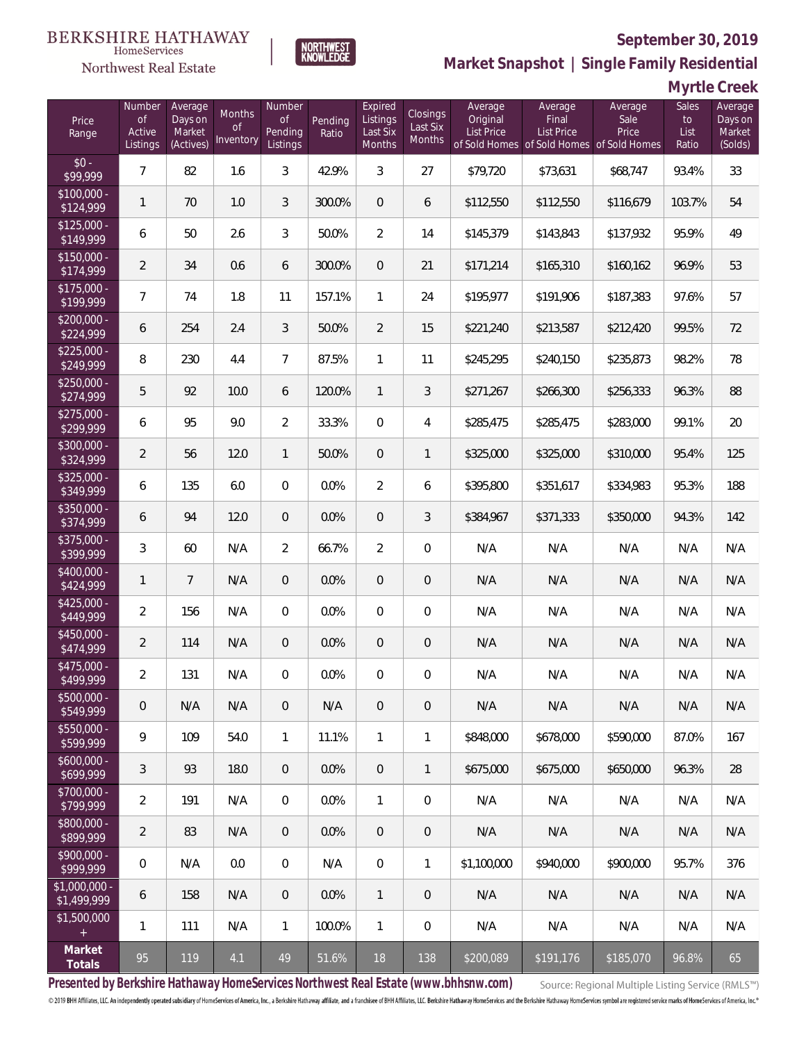#### **BERKSHIRE HATHAWAY** HomeServices

NORTHWEST<br>KNOWLEDGE



#### **September 30, 2019**

**Market Snapshot | Single Family Residential**

| Myrtle Creek |  |
|--------------|--|
|--------------|--|

| Price<br>Range                | Number<br><b>of</b><br>Active<br>Listings | Average<br>Days on<br>Market<br>(Actives) | Months<br>Οf<br>Inventory | Number<br><b>of</b><br>Pending<br>Listings | Pending<br>Ratio | Expired<br>Listings<br>Last Six<br>Months | Closings<br>Last Six<br>Months | Average<br>Original<br><b>List Price</b> | Average<br>Final<br>List Price<br>of Sold Homes of Sold Homes of Sold Homes | Average<br>Sale<br>Price | Sales<br>to<br>List<br>Ratio | Average<br>Days on<br>Market<br>(Solds) |
|-------------------------------|-------------------------------------------|-------------------------------------------|---------------------------|--------------------------------------------|------------------|-------------------------------------------|--------------------------------|------------------------------------------|-----------------------------------------------------------------------------|--------------------------|------------------------------|-----------------------------------------|
| $$0 -$<br>\$99,999            | $\overline{7}$                            | 82                                        | 1.6                       | 3                                          | 42.9%            | 3                                         | 27                             | \$79,720                                 | \$73,631                                                                    | \$68,747                 | 93.4%                        | 33                                      |
| $$100,000 -$<br>\$124,999     | $\mathbf{1}$                              | 70                                        | 1.0                       | 3                                          | 300.0%           | $\overline{0}$                            | 6                              | \$112,550                                | \$112,550                                                                   | \$116,679                | 103.7%                       | 54                                      |
| $$125,000 -$<br>\$149,999     | 6                                         | 50                                        | 2.6                       | 3                                          | 50.0%            | $\overline{2}$                            | 14                             | \$145,379                                | \$143,843                                                                   | \$137,932                | 95.9%                        | 49                                      |
| $$150,000 -$<br>\$174,999     | $\overline{2}$                            | 34                                        | 0.6                       | 6                                          | 300.0%           | $\overline{0}$                            | 21                             | \$171,214                                | \$165,310                                                                   | \$160,162                | 96.9%                        | 53                                      |
| $$175,000 -$<br>\$199,999     | $\overline{7}$                            | 74                                        | 1.8                       | 11                                         | 157.1%           | $\mathbf{1}$                              | 24                             | \$195,977                                | \$191,906                                                                   | \$187,383                | 97.6%                        | 57                                      |
| $$200,000 -$<br>\$224,999     | 6                                         | 254                                       | 2.4                       | 3                                          | 50.0%            | $\overline{2}$                            | 15                             | \$221,240                                | \$213,587                                                                   | \$212,420                | 99.5%                        | 72                                      |
| $$225,000 -$<br>\$249,999     | 8                                         | 230                                       | 4.4                       | $\overline{7}$                             | 87.5%            | $\mathbf{1}$                              | 11                             | \$245,295                                | \$240,150                                                                   | \$235,873                | 98.2%                        | 78                                      |
| $$250,000 -$<br>\$274,999     | 5                                         | 92                                        | 10.0                      | 6                                          | 120.0%           | $\mathbf{1}$                              | 3                              | \$271,267                                | \$266,300                                                                   | \$256,333                | 96.3%                        | 88                                      |
| $$275,000 -$<br>\$299,999     | 6                                         | 95                                        | 9.0                       | $\overline{2}$                             | 33.3%            | $\mathbf{0}$                              | $\overline{4}$                 | \$285,475                                | \$285,475                                                                   | \$283,000                | 99.1%                        | 20                                      |
| $$300,000 -$<br>\$324,999     | $\overline{2}$                            | 56                                        | 12.0                      | 1                                          | 50.0%            | $\overline{0}$                            | $\mathbf{1}$                   | \$325,000                                | \$325,000                                                                   | \$310,000                | 95.4%                        | 125                                     |
| \$325,000 -<br>\$349,999      | 6                                         | 135                                       | 6.0                       | $\overline{0}$                             | 0.0%             | $\overline{2}$                            | 6                              | \$395,800                                | \$351,617                                                                   | \$334,983                | 95.3%                        | 188                                     |
| $$350,000 -$<br>\$374,999     | 6                                         | 94                                        | 12.0                      | $\overline{0}$                             | 0.0%             | $\overline{0}$                            | 3                              | \$384,967                                | \$371,333                                                                   | \$350,000                | 94.3%                        | 142                                     |
| $$375,000 -$<br>\$399,999     | 3                                         | 60                                        | N/A                       | $\overline{2}$                             | 66.7%            | $\overline{2}$                            | $\mathbf 0$                    | N/A                                      | N/A                                                                         | N/A                      | N/A                          | N/A                                     |
| \$400,000 -<br>\$424,999      | $\mathbf{1}$                              | $\overline{7}$                            | N/A                       | $\overline{0}$                             | 0.0%             | $\overline{0}$                            | $\overline{0}$                 | N/A                                      | N/A                                                                         | N/A                      | N/A                          | N/A                                     |
| $$425,000 -$<br>\$449,999     | $\overline{2}$                            | 156                                       | N/A                       | $\overline{0}$                             | 0.0%             | $\overline{0}$                            | $\mathbf 0$                    | N/A                                      | N/A                                                                         | N/A                      | N/A                          | N/A                                     |
| $$450,000 -$<br>\$474,999     | $\overline{2}$                            | 114                                       | N/A                       | $\overline{0}$                             | 0.0%             | $\overline{0}$                            | $\theta$                       | N/A                                      | N/A                                                                         | N/A                      | N/A                          | N/A                                     |
| $$475,000 -$<br>\$499,999     | $\overline{2}$                            | 131                                       | N/A                       | 0                                          | 0.0%             | $\overline{0}$                            | $\boldsymbol{0}$               | N/A                                      | N/A                                                                         | N/A                      | N/A                          | N/A                                     |
| $$500,000 -$<br>\$549,999     | 0                                         | N/A                                       | N/A                       | $\overline{0}$                             | N/A              | $\overline{0}$                            | $\overline{0}$                 | N/A                                      | N/A                                                                         | N/A                      | N/A                          | N/A                                     |
| $$550,000 -$<br>\$599,999     | 9                                         | 109                                       | 54.0                      | $\mathbf{1}$                               | 11.1%            | $\mathbf{1}$                              | $\mathbf{1}$                   | \$848,000                                | \$678,000                                                                   | \$590,000                | 87.0%                        | 167                                     |
| $$600,000 -$<br>\$699,999     | 3                                         | 93                                        | 18.0                      | $\overline{0}$                             | 0.0%             | $\mathbf{0}$                              | $\mathbf{1}$                   | \$675,000                                | \$675,000                                                                   | \$650,000                | 96.3%                        | 28                                      |
| $$700,000 -$<br>\$799,999     | $\overline{2}$                            | 191                                       | N/A                       | $\overline{0}$                             | 0.0%             | $\mathbf{1}$                              | 0                              | N/A                                      | N/A                                                                         | N/A                      | N/A                          | N/A                                     |
| \$800,000 -<br>\$899,999      | $\overline{2}$                            | 83                                        | N/A                       | $\overline{0}$                             | 0.0%             | $\mathbf{0}$                              | $\overline{0}$                 | N/A                                      | N/A                                                                         | N/A                      | N/A                          | N/A                                     |
| \$900,000 -<br>\$999,999      | 0                                         | N/A                                       | 0.0                       | $\overline{0}$                             | N/A              | $\mathbf 0$                               | $\mathbf{1}$                   | \$1,100,000                              | \$940,000                                                                   | \$900,000                | 95.7%                        | 376                                     |
| $$1,000,000$ -<br>\$1,499,999 | 6                                         | 158                                       | N/A                       | $\overline{0}$                             | 0.0%             | $\mathbf{1}$                              | $\overline{0}$                 | N/A                                      | N/A                                                                         | N/A                      | N/A                          | N/A                                     |
| \$1,500,000<br>$+$            | 1                                         | 111                                       | N/A                       | $\mathbf{1}$                               | 100.0%           | $\mathbf{1}$                              | 0                              | N/A                                      | N/A                                                                         | N/A                      | N/A                          | N/A                                     |
| Market<br>Totals              | 95                                        | 119                                       | 4.1                       | 49                                         | 51.6%            | 18                                        | 138                            | \$200,089                                | \$191,176                                                                   | \$185,070                | 96.8%                        | 65                                      |

**Presented by Berkshire Hathaway HomeServices Northwest Real Estate (www.bhhsnw.com)**

Source: Regional Multiple Listing Service (RMLS™)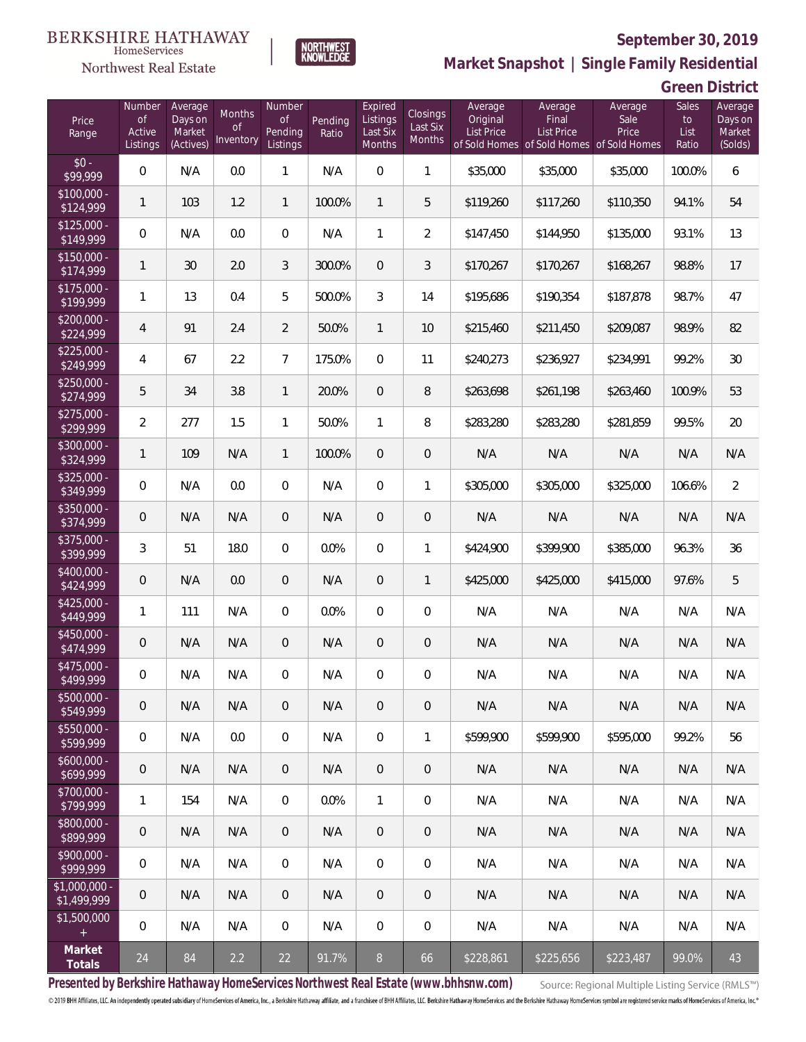

NORTHWEST<br>KNOWLEDGE

Northwest Real Estate

**Market Snapshot | Single Family Residential**

**Green District**

| Price<br>Range               | Number<br>of<br>Active<br>Listings | Average<br>Days on<br>Market<br>(Actives) | <b>Months</b><br>0f<br>Inventory | Number<br><b>of</b><br>Pending<br>Listings | Pending<br>Ratio | Expired<br>Listings<br>Last Six<br>Months | Closings<br>Last Six<br>Months | Average<br>Original<br><b>List Price</b> | Average<br>Final<br><b>List Price</b><br>of Sold Homes of Sold Homes of Sold Homes | Average<br>Sale<br>Price | Sales<br>to<br>List<br>Ratio | Average<br>Days on<br>Market<br>(Solds) |
|------------------------------|------------------------------------|-------------------------------------------|----------------------------------|--------------------------------------------|------------------|-------------------------------------------|--------------------------------|------------------------------------------|------------------------------------------------------------------------------------|--------------------------|------------------------------|-----------------------------------------|
| $$0 -$<br>\$99,999           | $\overline{0}$                     | N/A                                       | 0.0                              | $\mathbf{1}$                               | N/A              | $\overline{0}$                            | $\mathbf{1}$                   | \$35,000                                 | \$35,000                                                                           | \$35,000                 | 100.0%                       | 6                                       |
| $$100,000 -$<br>\$124,999    | 1                                  | 103                                       | 1.2                              | $\mathbf{1}$                               | 100.0%           | $\mathbf{1}$                              | 5                              | \$119,260                                | \$117,260                                                                          | \$110,350                | 94.1%                        | 54                                      |
| $$125,000 -$<br>\$149,999    | $\overline{0}$                     | N/A                                       | 0.0                              | $\overline{0}$                             | N/A              | $\mathbf{1}$                              | $\overline{2}$                 | \$147,450                                | \$144,950                                                                          | \$135,000                | 93.1%                        | 13                                      |
| $$150,000 -$<br>\$174,999    | 1                                  | 30                                        | 2.0                              | 3                                          | 300.0%           | $\overline{0}$                            | 3                              | \$170,267                                | \$170,267                                                                          | \$168,267                | 98.8%                        | 17                                      |
| $$175,000 -$<br>\$199,999    | 1                                  | 13                                        | 0.4                              | 5                                          | 500.0%           | 3                                         | 14                             | \$195,686                                | \$190,354                                                                          | \$187,878                | 98.7%                        | 47                                      |
| $$200,000 -$<br>\$224,999    | 4                                  | 91                                        | 2.4                              | $\overline{2}$                             | 50.0%            | $\mathbf{1}$                              | 10                             | \$215,460                                | \$211,450                                                                          | \$209,087                | 98.9%                        | 82                                      |
| $$225,000 -$<br>\$249,999    | 4                                  | 67                                        | 2.2                              | $\overline{7}$                             | 175.0%           | $\overline{0}$                            | 11                             | \$240,273                                | \$236,927                                                                          | \$234,991                | 99.2%                        | 30                                      |
| $$250,000 -$<br>\$274,999    | 5                                  | 34                                        | 3.8                              | $\mathbf{1}$                               | 20.0%            | $\overline{0}$                            | 8                              | \$263,698                                | \$261,198                                                                          | \$263,460                | 100.9%                       | 53                                      |
| $$275,000 -$<br>\$299,999    | $\overline{2}$                     | 277                                       | 1.5                              | $\mathbf{1}$                               | 50.0%            | $\mathbf{1}$                              | 8                              | \$283,280                                | \$283,280                                                                          | \$281,859                | 99.5%                        | 20                                      |
| $$300,000 -$<br>\$324,999    | 1                                  | 109                                       | N/A                              | $\mathbf{1}$                               | 100.0%           | $\overline{0}$                            | $\mathbf 0$                    | N/A                                      | N/A                                                                                | N/A                      | N/A                          | N/A                                     |
| $$325,000 -$<br>\$349,999    | $\overline{0}$                     | N/A                                       | 0.0                              | $\overline{0}$                             | N/A              | $\overline{0}$                            | $\mathbf{1}$                   | \$305,000                                | \$305,000                                                                          | \$325,000                | 106.6%                       | $\overline{2}$                          |
| $$350,000 -$<br>\$374,999    | 0                                  | N/A                                       | N/A                              | $\overline{0}$                             | N/A              | $\overline{0}$                            | $\mathbf 0$                    | N/A                                      | N/A                                                                                | N/A                      | N/A                          | N/A                                     |
| $$375,000 -$<br>\$399,999    | 3                                  | 51                                        | 18.0                             | $\Omega$                                   | 0.0%             | $\overline{0}$                            | $\mathbf{1}$                   | \$424,900                                | \$399,900                                                                          | \$385,000                | 96.3%                        | 36                                      |
| $$400,000 -$<br>\$424,999    | 0                                  | N/A                                       | 0.0                              | $\overline{0}$                             | N/A              | $\overline{0}$                            | $\mathbf{1}$                   | \$425,000                                | \$425,000                                                                          | \$415,000                | 97.6%                        | 5                                       |
| $$425,000 -$<br>\$449,999    | 1                                  | 111                                       | N/A                              | $\overline{0}$                             | 0.0%             | $\overline{0}$                            | $\overline{0}$                 | N/A                                      | N/A                                                                                | N/A                      | N/A                          | N/A                                     |
| $$450,000 -$<br>\$474,999    | 0                                  | N/A                                       | N/A                              | $\overline{0}$                             | N/A              | $\overline{0}$                            | $\mathbf 0$                    | N/A                                      | N/A                                                                                | N/A                      | N/A                          | N/A                                     |
| $$475,000 -$<br>\$499,999    | 0                                  | N/A                                       | N/A                              | $\mathbf{0}$                               | N/A              | $\overline{0}$                            | $\mathbf 0$                    | N/A                                      | N/A                                                                                | N/A                      | N/A                          | N/A                                     |
| $$500,000 -$<br>\$549,999    | 0                                  | N/A                                       | N/A                              | $\overline{0}$                             | N/A              | $\overline{0}$                            | $\mathbf 0$                    | N/A                                      | N/A                                                                                | N/A                      | N/A                          | N/A                                     |
| $$550,000 -$<br>\$599,999    | $\mathbf 0$                        | N/A                                       | 0.0                              | $\mathbf 0$                                | N/A              | $\mathbf 0$                               | $\mathbf{1}$                   | \$599,900                                | \$599,900                                                                          | \$595,000                | 99.2%                        | 56                                      |
| $$600,000 -$<br>\$699,999    | $\theta$                           | N/A                                       | N/A                              | $\overline{0}$                             | N/A              | $\overline{0}$                            | 0                              | N/A                                      | N/A                                                                                | N/A                      | N/A                          | N/A                                     |
| $$700,000 -$<br>\$799,999    | 1                                  | 154                                       | N/A                              | $\mathbf 0$                                | 0.0%             | $\mathbf{1}$                              | $\mathbf 0$                    | N/A                                      | N/A                                                                                | N/A                      | N/A                          | N/A                                     |
| $$800,000 -$<br>\$899,999    | $\theta$                           | N/A                                       | N/A                              | $\overline{0}$                             | N/A              | $\overline{0}$                            | 0                              | N/A                                      | N/A                                                                                | N/A                      | N/A                          | N/A                                     |
| $$900,000 -$<br>\$999,999    | $\mathbf 0$                        | N/A                                       | N/A                              | $\mathbf 0$                                | N/A              | $\mathbf 0$                               | 0                              | N/A                                      | N/A                                                                                | N/A                      | N/A                          | N/A                                     |
| \$1,000,000 -<br>\$1,499,999 | $\overline{0}$                     | N/A                                       | N/A                              | $\overline{0}$                             | N/A              | $\overline{0}$                            | 0                              | N/A                                      | N/A                                                                                | N/A                      | N/A                          | N/A                                     |
| \$1,500,000<br>$\pm$         | $\mathbf 0$                        | N/A                                       | N/A                              | $\overline{0}$                             | N/A              | $\overline{0}$                            | 0                              | N/A                                      | N/A                                                                                | N/A                      | N/A                          | N/A                                     |
| Market<br>Totals             | 24                                 | 84                                        | 2.2                              | 22                                         | 91.7%            | $8\,$                                     | 66                             | \$228,861                                | \$225,656                                                                          | \$223,487                | 99.0%                        | 43                                      |

**Presented by Berkshire Hathaway HomeServices Northwest Real Estate (www.bhhsnw.com)**

Source: Regional Multiple Listing Service (RMLS™)